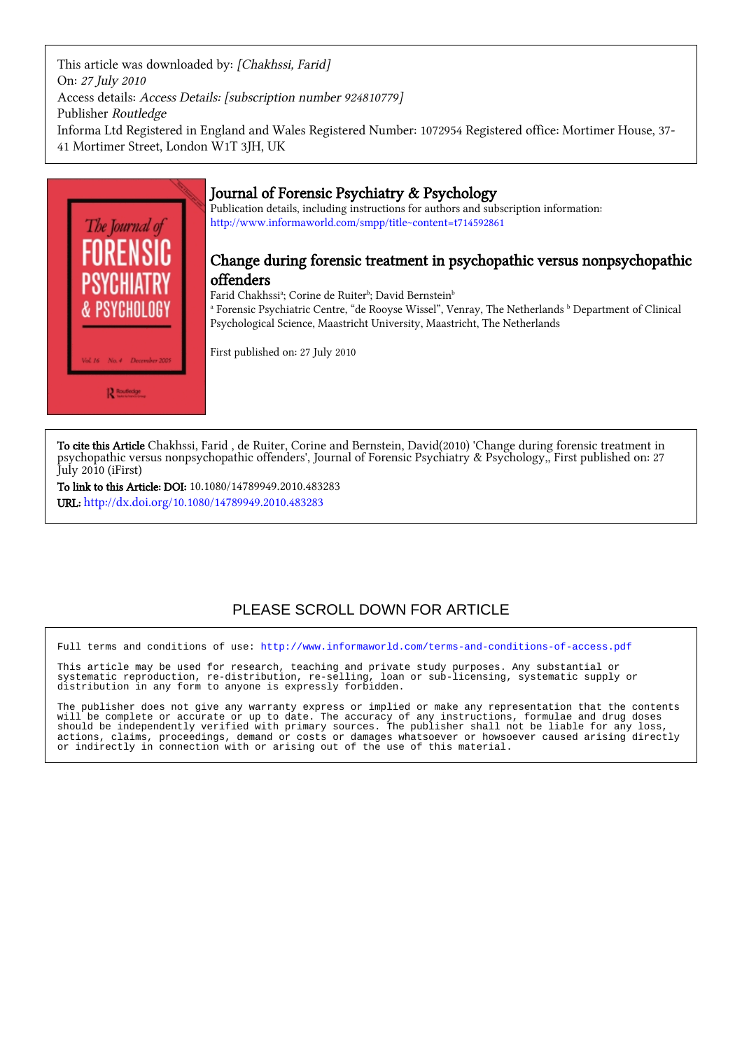This article was downloaded by: [Chakhssi, Farid] On: 27 July 2010 Access details: Access Details: [subscription number 924810779] Publisher Routledge Informa Ltd Registered in England and Wales Registered Number: 1072954 Registered office: Mortimer House, 37- 41 Mortimer Street, London W1T 3JH, UK



## Journal of Forensic Psychiatry & Psychology

Publication details, including instructions for authors and subscription information: <http://www.informaworld.com/smpp/title~content=t714592861>

## Change during forensic treatment in psychopathic versus nonpsychopathic offenders

Farid Chakhssiª; Corine de Ruiterʰ; David Bernsteinʰ

<sup>a</sup> Forensic Psychiatric Centre, "de Rooyse Wissel", Venray, The Netherlands <sup>b</sup> Department of Clinical Psychological Science, Maastricht University, Maastricht, The Netherlands

First published on: 27 July 2010

To cite this Article Chakhssi, Farid , de Ruiter, Corine and Bernstein, David(2010) 'Change during forensic treatment in psychopathic versus nonpsychopathic offenders', Journal of Forensic Psychiatry & Psychology,, First published on: 27 July 2010 (iFirst)

To link to this Article: DOI: 10.1080/14789949.2010.483283 URL: <http://dx.doi.org/10.1080/14789949.2010.483283>

# PLEASE SCROLL DOWN FOR ARTICLE

Full terms and conditions of use:<http://www.informaworld.com/terms-and-conditions-of-access.pdf>

This article may be used for research, teaching and private study purposes. Any substantial or systematic reproduction, re-distribution, re-selling, loan or sub-licensing, systematic supply or distribution in any form to anyone is expressly forbidden.

The publisher does not give any warranty express or implied or make any representation that the contents will be complete or accurate or up to date. The accuracy of any instructions, formulae and drug doses should be independently verified with primary sources. The publisher shall not be liable for any loss, actions, claims, proceedings, demand or costs or damages whatsoever or howsoever caused arising directly or indirectly in connection with or arising out of the use of this material.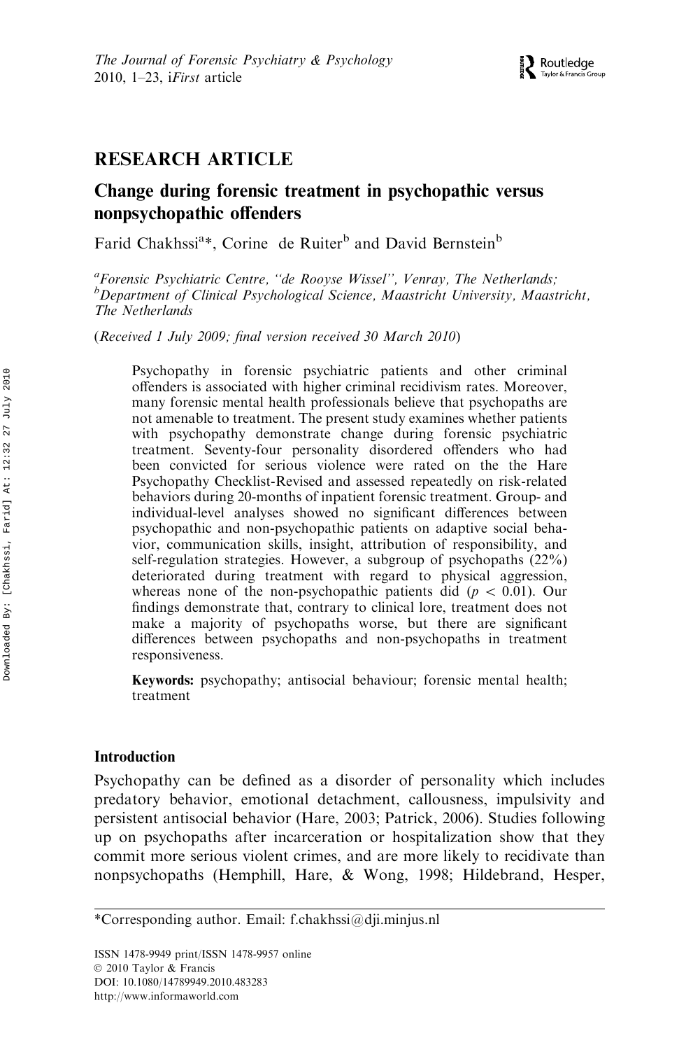## RESEARCH ARTICLE

## Change during forensic treatment in psychopathic versus nonpsychopathic offenders

Farid Chakhssi<sup>a\*</sup>, Corine de Ruiter<sup>b</sup> and David Bernstein<sup>b</sup>

<sup>a</sup>Forensic Psychiatric Centre, "de Rooyse Wissel", Venray, The Netherlands; <sup>b</sup>Department of Clinical Psychological Science, Maastricht University, Maastricht, The Netherlands

(Received 1 July 2009; final version received 30 March 2010)

Psychopathy in forensic psychiatric patients and other criminal offenders is associated with higher criminal recidivism rates. Moreover, many forensic mental health professionals believe that psychopaths are not amenable to treatment. The present study examines whether patients with psychopathy demonstrate change during forensic psychiatric treatment. Seventy-four personality disordered offenders who had been convicted for serious violence were rated on the the Hare Psychopathy Checklist-Revised and assessed repeatedly on risk-related behaviors during 20-months of inpatient forensic treatment. Group- and individual-level analyses showed no significant differences between psychopathic and non-psychopathic patients on adaptive social behavior, communication skills, insight, attribution of responsibility, and self-regulation strategies. However, a subgroup of psychopaths (22%) deteriorated during treatment with regard to physical aggression, whereas none of the non-psychopathic patients did ( $p < 0.01$ ). Our findings demonstrate that, contrary to clinical lore, treatment does not make a majority of psychopaths worse, but there are significant differences between psychopaths and non-psychopaths in treatment responsiveness.

Keywords: psychopathy; antisocial behaviour; forensic mental health; treatment

## Introduction

Psychopathy can be defined as a disorder of personality which includes predatory behavior, emotional detachment, callousness, impulsivity and persistent antisocial behavior (Hare, 2003; Patrick, 2006). Studies following up on psychopaths after incarceration or hospitalization show that they commit more serious violent crimes, and are more likely to recidivate than nonpsychopaths (Hemphill, Hare, & Wong, 1998; Hildebrand, Hesper,

ISSN 1478-9949 print/ISSN 1478-9957 online © 2010 Taylor & Francis DOI: 10.1080/14789949.2010.483283 http://www.informaworld.com

<sup>\*</sup>Corresponding author. Email: f.chakhssi@dji.minjus.nl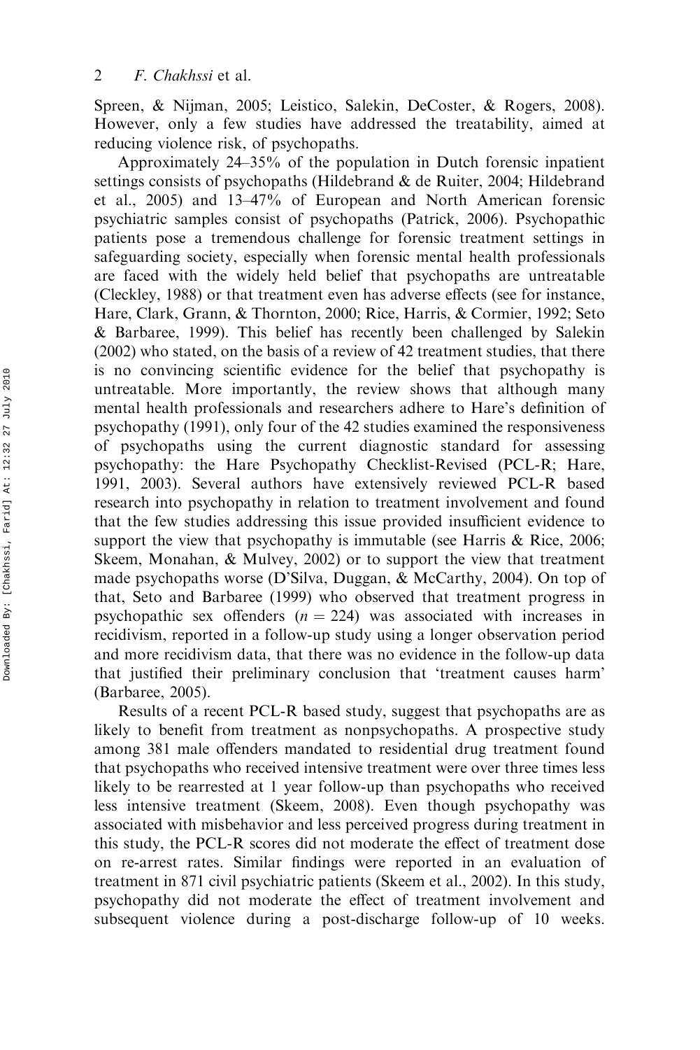Spreen, & Nijman, 2005; Leistico, Salekin, DeCoster, & Rogers, 2008). However, only a few studies have addressed the treatability, aimed at reducing violence risk, of psychopaths.

Approximately 24–35% of the population in Dutch forensic inpatient settings consists of psychopaths (Hildebrand & de Ruiter, 2004; Hildebrand et al., 2005) and 13–47% of European and North American forensic psychiatric samples consist of psychopaths (Patrick, 2006). Psychopathic patients pose a tremendous challenge for forensic treatment settings in safeguarding society, especially when forensic mental health professionals are faced with the widely held belief that psychopaths are untreatable (Cleckley, 1988) or that treatment even has adverse effects (see for instance, Hare, Clark, Grann, & Thornton, 2000; Rice, Harris, & Cormier, 1992; Seto & Barbaree, 1999). This belief has recently been challenged by Salekin (2002) who stated, on the basis of a review of 42 treatment studies, that there is no convincing scientific evidence for the belief that psychopathy is untreatable. More importantly, the review shows that although many mental health professionals and researchers adhere to Hare's definition of psychopathy (1991), only four of the 42 studies examined the responsiveness of psychopaths using the current diagnostic standard for assessing psychopathy: the Hare Psychopathy Checklist-Revised (PCL-R; Hare, 1991, 2003). Several authors have extensively reviewed PCL-R based research into psychopathy in relation to treatment involvement and found that the few studies addressing this issue provided insufficient evidence to support the view that psychopathy is immutable (see Harris  $\&$  Rice, 2006; Skeem, Monahan, & Mulvey, 2002) or to support the view that treatment made psychopaths worse (D'Silva, Duggan, & McCarthy, 2004). On top of that, Seto and Barbaree (1999) who observed that treatment progress in psychopathic sex offenders  $(n = 224)$  was associated with increases in recidivism, reported in a follow-up study using a longer observation period and more recidivism data, that there was no evidence in the follow-up data that justified their preliminary conclusion that 'treatment causes harm' (Barbaree, 2005).

Results of a recent PCL-R based study, suggest that psychopaths are as likely to benefit from treatment as nonpsychopaths. A prospective study among 381 male offenders mandated to residential drug treatment found that psychopaths who received intensive treatment were over three times less likely to be rearrested at 1 year follow-up than psychopaths who received less intensive treatment (Skeem, 2008). Even though psychopathy was associated with misbehavior and less perceived progress during treatment in this study, the PCL-R scores did not moderate the effect of treatment dose on re-arrest rates. Similar findings were reported in an evaluation of treatment in 871 civil psychiatric patients (Skeem et al., 2002). In this study, psychopathy did not moderate the effect of treatment involvement and subsequent violence during a post-discharge follow-up of 10 weeks.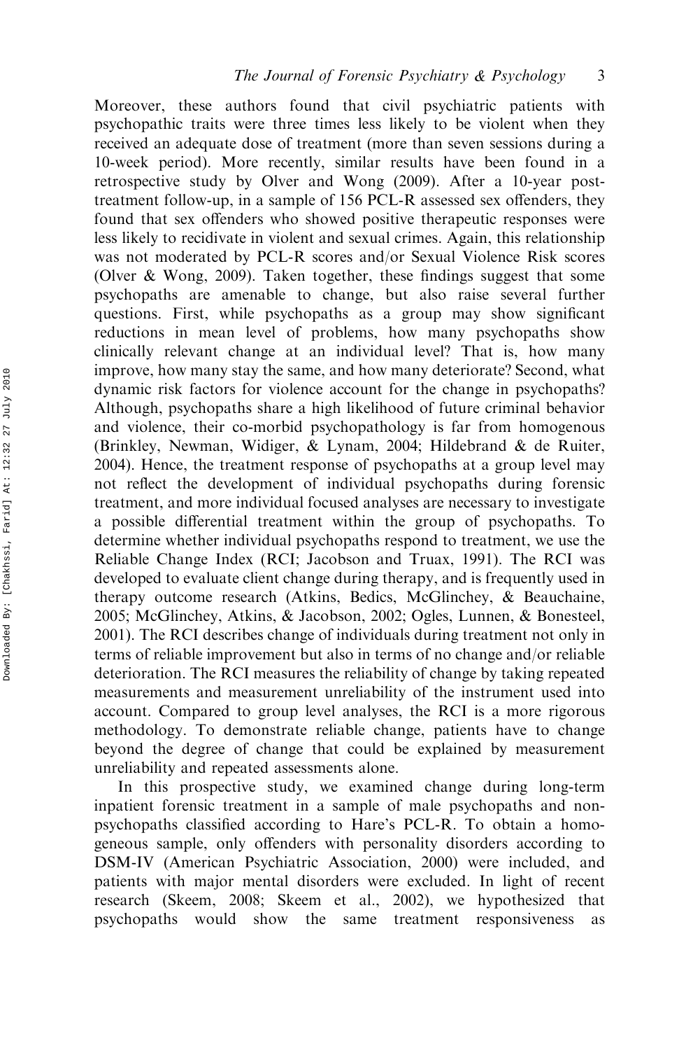Moreover, these authors found that civil psychiatric patients with psychopathic traits were three times less likely to be violent when they received an adequate dose of treatment (more than seven sessions during a 10-week period). More recently, similar results have been found in a retrospective study by Olver and Wong (2009). After a 10-year posttreatment follow-up, in a sample of 156 PCL-R assessed sex offenders, they found that sex offenders who showed positive therapeutic responses were less likely to recidivate in violent and sexual crimes. Again, this relationship was not moderated by PCL-R scores and/or Sexual Violence Risk scores (Olver & Wong, 2009). Taken together, these findings suggest that some psychopaths are amenable to change, but also raise several further questions. First, while psychopaths as a group may show significant reductions in mean level of problems, how many psychopaths show clinically relevant change at an individual level? That is, how many improve, how many stay the same, and how many deteriorate? Second, what dynamic risk factors for violence account for the change in psychopaths? Although, psychopaths share a high likelihood of future criminal behavior and violence, their co-morbid psychopathology is far from homogenous (Brinkley, Newman, Widiger, & Lynam, 2004; Hildebrand & de Ruiter, 2004). Hence, the treatment response of psychopaths at a group level may not reflect the development of individual psychopaths during forensic treatment, and more individual focused analyses are necessary to investigate a possible differential treatment within the group of psychopaths. To determine whether individual psychopaths respond to treatment, we use the Reliable Change Index (RCI; Jacobson and Truax, 1991). The RCI was developed to evaluate client change during therapy, and is frequently used in therapy outcome research (Atkins, Bedics, McGlinchey, & Beauchaine, 2005; McGlinchey, Atkins, & Jacobson, 2002; Ogles, Lunnen, & Bonesteel, 2001). The RCI describes change of individuals during treatment not only in terms of reliable improvement but also in terms of no change and/or reliable deterioration. The RCI measures the reliability of change by taking repeated measurements and measurement unreliability of the instrument used into account. Compared to group level analyses, the RCI is a more rigorous methodology. To demonstrate reliable change, patients have to change beyond the degree of change that could be explained by measurement unreliability and repeated assessments alone.

In this prospective study, we examined change during long-term inpatient forensic treatment in a sample of male psychopaths and nonpsychopaths classified according to Hare's PCL-R. To obtain a homogeneous sample, only offenders with personality disorders according to DSM-IV (American Psychiatric Association, 2000) were included, and patients with major mental disorders were excluded. In light of recent research (Skeem, 2008; Skeem et al., 2002), we hypothesized that psychopaths would show the same treatment responsiveness as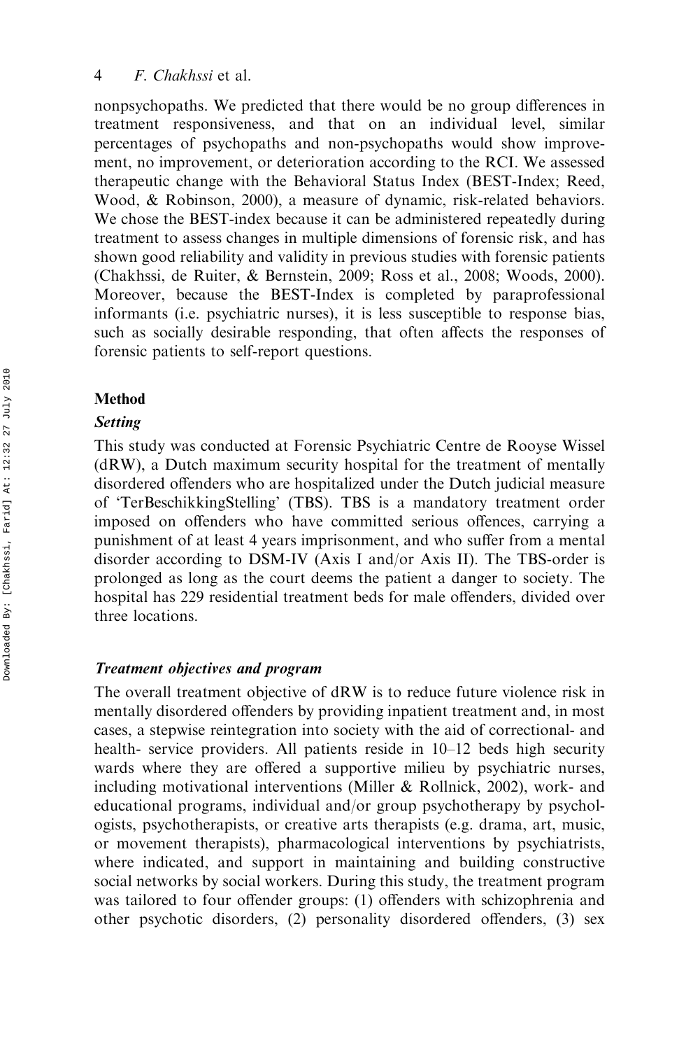#### 4 F. Chakhssi et al.

nonpsychopaths. We predicted that there would be no group differences in treatment responsiveness, and that on an individual level, similar percentages of psychopaths and non-psychopaths would show improvement, no improvement, or deterioration according to the RCI. We assessed therapeutic change with the Behavioral Status Index (BEST-Index; Reed, Wood, & Robinson, 2000), a measure of dynamic, risk-related behaviors. We chose the BEST-index because it can be administered repeatedly during treatment to assess changes in multiple dimensions of forensic risk, and has shown good reliability and validity in previous studies with forensic patients (Chakhssi, de Ruiter, & Bernstein, 2009; Ross et al., 2008; Woods, 2000). Moreover, because the BEST-Index is completed by paraprofessional informants (i.e. psychiatric nurses), it is less susceptible to response bias, such as socially desirable responding, that often affects the responses of forensic patients to self-report questions.

### Method

#### Setting

This study was conducted at Forensic Psychiatric Centre de Rooyse Wissel (dRW), a Dutch maximum security hospital for the treatment of mentally disordered offenders who are hospitalized under the Dutch judicial measure of 'TerBeschikkingStelling' (TBS). TBS is a mandatory treatment order imposed on offenders who have committed serious offences, carrying a punishment of at least 4 years imprisonment, and who suffer from a mental disorder according to DSM-IV (Axis I and/or Axis II). The TBS-order is prolonged as long as the court deems the patient a danger to society. The hospital has 229 residential treatment beds for male offenders, divided over three locations.

#### Treatment objectives and program

The overall treatment objective of dRW is to reduce future violence risk in mentally disordered offenders by providing inpatient treatment and, in most cases, a stepwise reintegration into society with the aid of correctional- and health- service providers. All patients reside in  $10-12$  beds high security wards where they are offered a supportive milieu by psychiatric nurses, including motivational interventions (Miller & Rollnick, 2002), work- and educational programs, individual and/or group psychotherapy by psychologists, psychotherapists, or creative arts therapists (e.g. drama, art, music, or movement therapists), pharmacological interventions by psychiatrists, where indicated, and support in maintaining and building constructive social networks by social workers. During this study, the treatment program was tailored to four offender groups: (1) offenders with schizophrenia and other psychotic disorders, (2) personality disordered offenders, (3) sex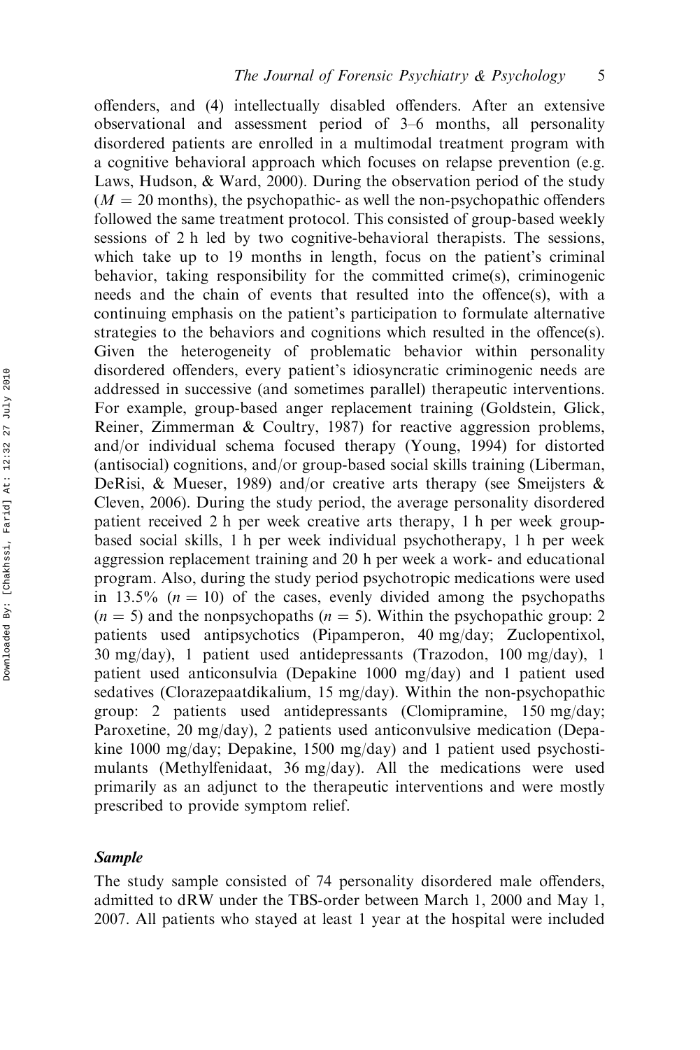offenders, and (4) intellectually disabled offenders. After an extensive observational and assessment period of 3–6 months, all personality disordered patients are enrolled in a multimodal treatment program with a cognitive behavioral approach which focuses on relapse prevention (e.g. Laws, Hudson, & Ward, 2000). During the observation period of the study  $(M = 20$  months), the psychopathic- as well the non-psychopathic offenders followed the same treatment protocol. This consisted of group-based weekly sessions of 2 h led by two cognitive-behavioral therapists. The sessions, which take up to 19 months in length, focus on the patient's criminal behavior, taking responsibility for the committed crime(s), criminogenic needs and the chain of events that resulted into the offence(s), with a continuing emphasis on the patient's participation to formulate alternative strategies to the behaviors and cognitions which resulted in the offence(s). Given the heterogeneity of problematic behavior within personality disordered offenders, every patient's idiosyncratic criminogenic needs are addressed in successive (and sometimes parallel) therapeutic interventions. For example, group-based anger replacement training (Goldstein, Glick, Reiner, Zimmerman & Coultry, 1987) for reactive aggression problems, and/or individual schema focused therapy (Young, 1994) for distorted (antisocial) cognitions, and/or group-based social skills training (Liberman, DeRisi, & Mueser, 1989) and/or creative arts therapy (see Smeijsters & Cleven, 2006). During the study period, the average personality disordered patient received 2 h per week creative arts therapy, 1 h per week groupbased social skills, 1 h per week individual psychotherapy, 1 h per week aggression replacement training and 20 h per week a work- and educational program. Also, during the study period psychotropic medications were used in 13.5% ( $n = 10$ ) of the cases, evenly divided among the psychopaths  $(n = 5)$  and the nonpsychopaths  $(n = 5)$ . Within the psychopathic group: 2 patients used antipsychotics (Pipamperon, 40 mg/day; Zuclopentixol, 30 mg/day), 1 patient used antidepressants (Trazodon, 100 mg/day), 1 patient used anticonsulvia (Depakine 1000 mg/day) and 1 patient used sedatives (Clorazepaatdikalium, 15 mg/day). Within the non-psychopathic group: 2 patients used antidepressants (Clomipramine, 150 mg/day; Paroxetine, 20 mg/day), 2 patients used anticonvulsive medication (Depakine 1000 mg/day; Depakine, 1500 mg/day) and 1 patient used psychostimulants (Methylfenidaat, 36 mg/day). All the medications were used primarily as an adjunct to the therapeutic interventions and were mostly prescribed to provide symptom relief.

#### Sample

The study sample consisted of 74 personality disordered male offenders, admitted to dRW under the TBS-order between March 1, 2000 and May 1, 2007. All patients who stayed at least 1 year at the hospital were included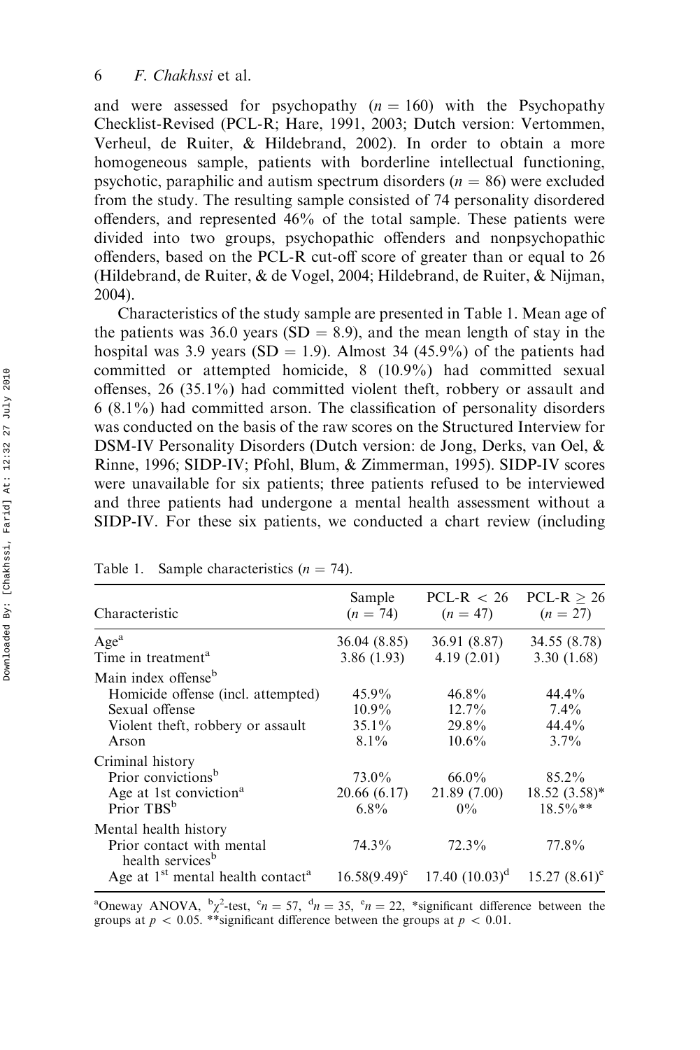and were assessed for psychopathy  $(n = 160)$  with the Psychopathy Checklist-Revised (PCL-R; Hare, 1991, 2003; Dutch version: Vertommen, Verheul, de Ruiter, & Hildebrand, 2002). In order to obtain a more homogeneous sample, patients with borderline intellectual functioning, psychotic, paraphilic and autism spectrum disorders ( $n = 86$ ) were excluded from the study. The resulting sample consisted of 74 personality disordered offenders, and represented 46% of the total sample. These patients were divided into two groups, psychopathic offenders and nonpsychopathic offenders, based on the PCL-R cut-off score of greater than or equal to 26 (Hildebrand, de Ruiter, & de Vogel, 2004; Hildebrand, de Ruiter, & Nijman, 2004).

Characteristics of the study sample are presented in Table 1. Mean age of the patients was 36.0 years (SD = 8.9), and the mean length of stay in the hospital was 3.9 years (SD = 1.9). Almost 34 (45.9%) of the patients had committed or attempted homicide, 8 (10.9%) had committed sexual offenses, 26 (35.1%) had committed violent theft, robbery or assault and 6 (8.1%) had committed arson. The classification of personality disorders was conducted on the basis of the raw scores on the Structured Interview for DSM-IV Personality Disorders (Dutch version: de Jong, Derks, van Oel, & Rinne, 1996; SIDP-IV; Pfohl, Blum, & Zimmerman, 1995). SIDP-IV scores were unavailable for six patients; three patients refused to be interviewed and three patients had undergone a mental health assessment without a SIDP-IV. For these six patients, we conducted a chart review (including

| Characteristic                                            | Sample<br>$(n = 74)$ | $PCL-R < 26$<br>$(n = 47)$ | $PCL-R > 26$<br>$(n = 27)$ |
|-----------------------------------------------------------|----------------------|----------------------------|----------------------------|
| Age <sup>a</sup>                                          | 36.04 (8.85)         | 36.91 (8.87)               | 34.55 (8.78)               |
| Time in treatment <sup>a</sup>                            | 3.86(1.93)           | 4.19(2.01)                 | 3.30(1.68)                 |
| Main index offense <sup>b</sup>                           |                      |                            |                            |
| Homicide offense (incl. attempted)                        | $45.9\%$             | $46.8\%$                   | $44.4\%$                   |
| Sexual offense                                            | $10.9\%$             | $12.7\%$                   | $7.4\%$                    |
| Violent theft, robbery or assault                         | $35.1\%$             | 29.8%                      | 44.4%                      |
| Arson                                                     | $8.1\%$              | $10.6\%$                   | $3.7\%$                    |
| Criminal history                                          |                      |                            |                            |
| Prior convictions <sup>b</sup>                            | 73.0%                | $66.0\%$                   | 85.2%                      |
| Age at 1st conviction <sup>a</sup>                        | 20.66 (6.17)         | 21.89 (7.00)               | $18.52(3.58)$ *            |
| Prior TBS <sup>b</sup>                                    | $6.8\%$              | $0\%$                      | $18.5\%**$                 |
| Mental health history                                     |                      |                            |                            |
| Prior contact with mental<br>health services <sup>b</sup> | 74.3%                | $72.3\%$                   | 77.8%                      |
| Age at $1st$ mental health contact <sup>a</sup>           | $16.58(9.49)^c$      | $17.40 (10.03)^d$          | $15.27(8.61)^e$            |

Table 1. Sample characteristics  $(n = 74)$ .

<sup>a</sup>Oneway ANOVA, <sup>b</sup> $\chi^2$ -test, <sup>c</sup> $n = 57$ , <sup>d</sup> $n = 35$ , <sup>e</sup> $n = 22$ , \*significant difference between the groups at  $p < 0.05$ . \*\*significant difference between the groups at  $p < 0.01$ .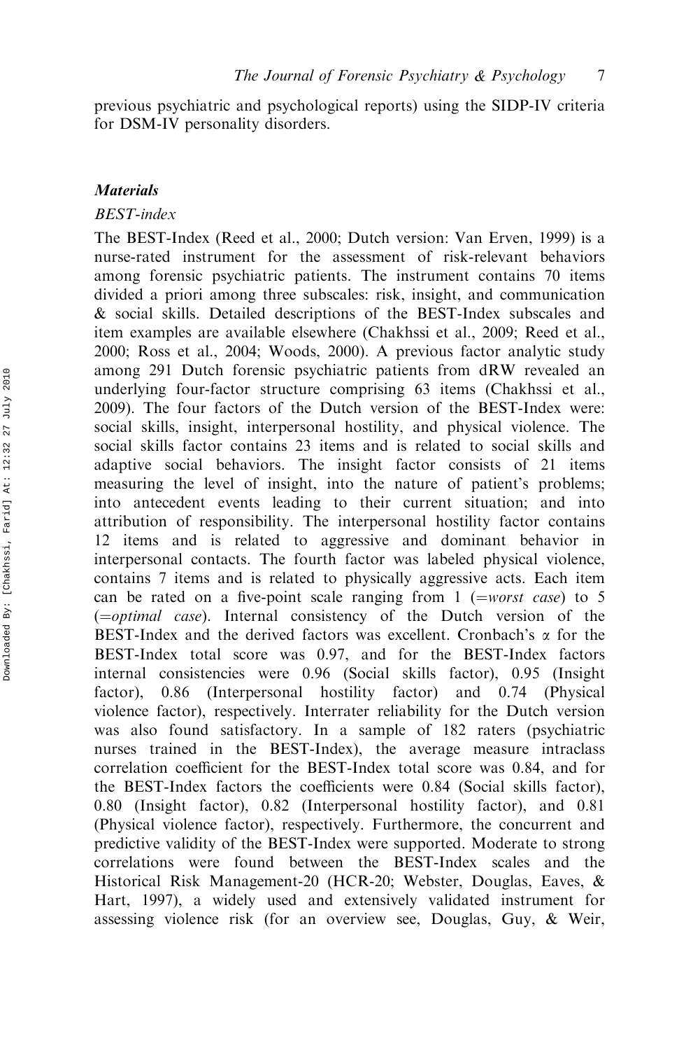previous psychiatric and psychological reports) using the SIDP-IV criteria for DSM-IV personality disorders.

#### **Materials**

#### BEST-index

The BEST-Index (Reed et al., 2000; Dutch version: Van Erven, 1999) is a nurse-rated instrument for the assessment of risk-relevant behaviors among forensic psychiatric patients. The instrument contains 70 items divided a priori among three subscales: risk, insight, and communication & social skills. Detailed descriptions of the BEST-Index subscales and item examples are available elsewhere (Chakhssi et al., 2009; Reed et al., 2000; Ross et al., 2004; Woods, 2000). A previous factor analytic study among 291 Dutch forensic psychiatric patients from dRW revealed an underlying four-factor structure comprising 63 items (Chakhssi et al., 2009). The four factors of the Dutch version of the BEST-Index were: social skills, insight, interpersonal hostility, and physical violence. The social skills factor contains 23 items and is related to social skills and adaptive social behaviors. The insight factor consists of 21 items measuring the level of insight, into the nature of patient's problems; into antecedent events leading to their current situation; and into attribution of responsibility. The interpersonal hostility factor contains 12 items and is related to aggressive and dominant behavior in interpersonal contacts. The fourth factor was labeled physical violence, contains 7 items and is related to physically aggressive acts. Each item can be rated on a five-point scale ranging from  $1$  (=worst case) to 5  $(= optimal \ case)$ . Internal consistency of the Dutch version of the BEST-Index and the derived factors was excellent. Cronbach's  $\alpha$  for the BEST-Index total score was 0.97, and for the BEST-Index factors internal consistencies were 0.96 (Social skills factor), 0.95 (Insight factor), 0.86 (Interpersonal hostility factor) and 0.74 (Physical violence factor), respectively. Interrater reliability for the Dutch version was also found satisfactory. In a sample of 182 raters (psychiatric nurses trained in the BEST-Index), the average measure intraclass correlation coefficient for the BEST-Index total score was 0.84, and for the BEST-Index factors the coefficients were 0.84 (Social skills factor), 0.80 (Insight factor), 0.82 (Interpersonal hostility factor), and 0.81 (Physical violence factor), respectively. Furthermore, the concurrent and predictive validity of the BEST-Index were supported. Moderate to strong correlations were found between the BEST-Index scales and the Historical Risk Management-20 (HCR-20; Webster, Douglas, Eaves, & Hart, 1997), a widely used and extensively validated instrument for assessing violence risk (for an overview see, Douglas, Guy, & Weir,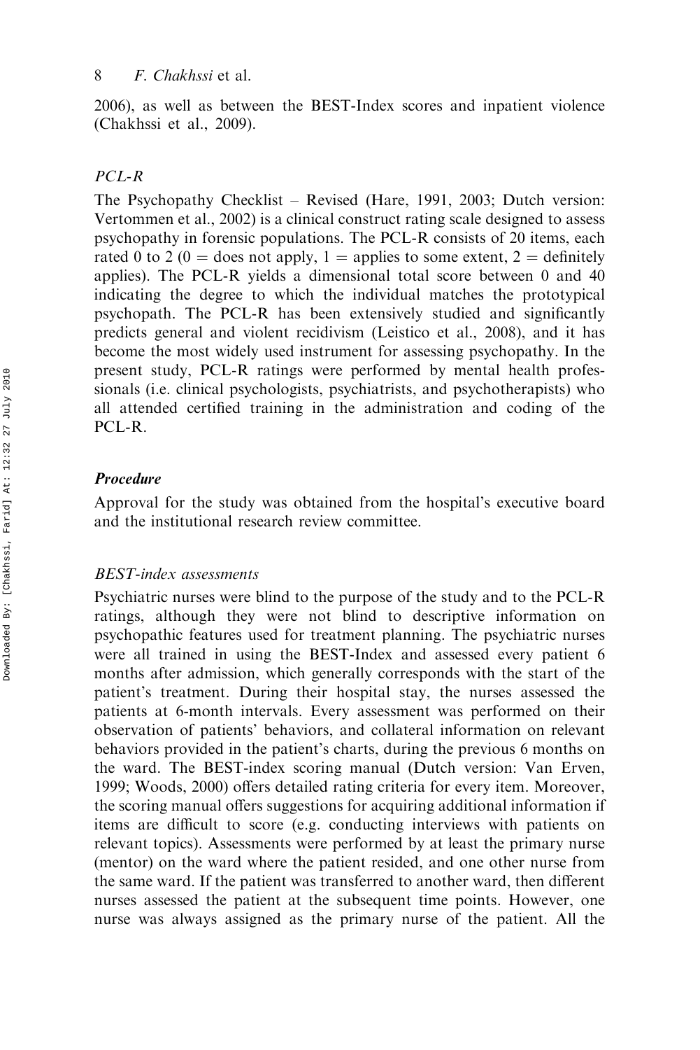2006), as well as between the BEST-Index scores and inpatient violence (Chakhssi et al., 2009).

### PCL-R

The Psychopathy Checklist – Revised (Hare, 1991, 2003; Dutch version: Vertommen et al., 2002) is a clinical construct rating scale designed to assess psychopathy in forensic populations. The PCL-R consists of 20 items, each rated 0 to 2 (0 = does not apply, 1 = applies to some extent, 2 = definitely applies). The PCL-R yields a dimensional total score between 0 and 40 indicating the degree to which the individual matches the prototypical psychopath. The PCL-R has been extensively studied and significantly predicts general and violent recidivism (Leistico et al., 2008), and it has become the most widely used instrument for assessing psychopathy. In the present study, PCL-R ratings were performed by mental health professionals (i.e. clinical psychologists, psychiatrists, and psychotherapists) who all attended certified training in the administration and coding of the PCL-R.

#### Procedure

Approval for the study was obtained from the hospital's executive board and the institutional research review committee.

#### BEST-index assessments

Psychiatric nurses were blind to the purpose of the study and to the PCL-R ratings, although they were not blind to descriptive information on psychopathic features used for treatment planning. The psychiatric nurses were all trained in using the BEST-Index and assessed every patient 6 months after admission, which generally corresponds with the start of the patient's treatment. During their hospital stay, the nurses assessed the patients at 6-month intervals. Every assessment was performed on their observation of patients' behaviors, and collateral information on relevant behaviors provided in the patient's charts, during the previous 6 months on the ward. The BEST-index scoring manual (Dutch version: Van Erven, 1999; Woods, 2000) offers detailed rating criteria for every item. Moreover, the scoring manual offers suggestions for acquiring additional information if items are difficult to score (e.g. conducting interviews with patients on relevant topics). Assessments were performed by at least the primary nurse (mentor) on the ward where the patient resided, and one other nurse from the same ward. If the patient was transferred to another ward, then different nurses assessed the patient at the subsequent time points. However, one nurse was always assigned as the primary nurse of the patient. All the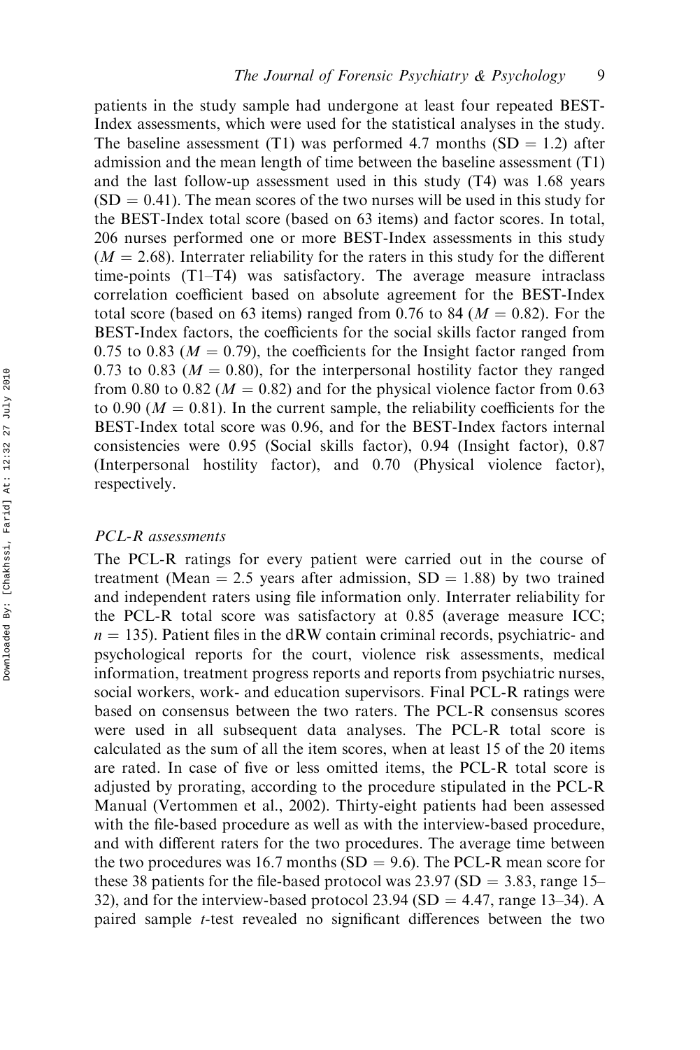patients in the study sample had undergone at least four repeated BEST-Index assessments, which were used for the statistical analyses in the study. The baseline assessment (T1) was performed 4.7 months  $(SD = 1.2)$  after admission and the mean length of time between the baseline assessment (T1) and the last follow-up assessment used in this study (T4) was 1.68 years  $(SD = 0.41)$ . The mean scores of the two nurses will be used in this study for the BEST-Index total score (based on 63 items) and factor scores. In total, 206 nurses performed one or more BEST-Index assessments in this study  $(M = 2.68)$ . Interrater reliability for the raters in this study for the different time-points (T1–T4) was satisfactory. The average measure intraclass correlation coefficient based on absolute agreement for the BEST-Index total score (based on 63 items) ranged from 0.76 to 84 ( $M = 0.82$ ). For the BEST-Index factors, the coefficients for the social skills factor ranged from 0.75 to 0.83 ( $M = 0.79$ ), the coefficients for the Insight factor ranged from 0.73 to 0.83 ( $M = 0.80$ ), for the interpersonal hostility factor they ranged from 0.80 to 0.82 ( $M = 0.82$ ) and for the physical violence factor from 0.63 to 0.90 ( $M = 0.81$ ). In the current sample, the reliability coefficients for the BEST-Index total score was 0.96, and for the BEST-Index factors internal consistencies were 0.95 (Social skills factor), 0.94 (Insight factor), 0.87 (Interpersonal hostility factor), and 0.70 (Physical violence factor), respectively.

#### PCL-R assessments

The PCL-R ratings for every patient were carried out in the course of treatment (Mean  $= 2.5$  years after admission,  $SD = 1.88$ ) by two trained and independent raters using file information only. Interrater reliability for the PCL-R total score was satisfactory at 0.85 (average measure ICC;  $n = 135$ ). Patient files in the dRW contain criminal records, psychiatric- and psychological reports for the court, violence risk assessments, medical information, treatment progress reports and reports from psychiatric nurses, social workers, work- and education supervisors. Final PCL-R ratings were based on consensus between the two raters. The PCL-R consensus scores were used in all subsequent data analyses. The PCL-R total score is calculated as the sum of all the item scores, when at least 15 of the 20 items are rated. In case of five or less omitted items, the PCL-R total score is adjusted by prorating, according to the procedure stipulated in the PCL-R Manual (Vertommen et al., 2002). Thirty-eight patients had been assessed with the file-based procedure as well as with the interview-based procedure, and with different raters for the two procedures. The average time between the two procedures was 16.7 months (SD  $=$  9.6). The PCL-R mean score for these 38 patients for the file-based protocol was  $23.97$  (SD = 3.83, range 15– 32), and for the interview-based protocol 23.94 (SD  $=$  4.47, range 13–34). A paired sample t-test revealed no significant differences between the two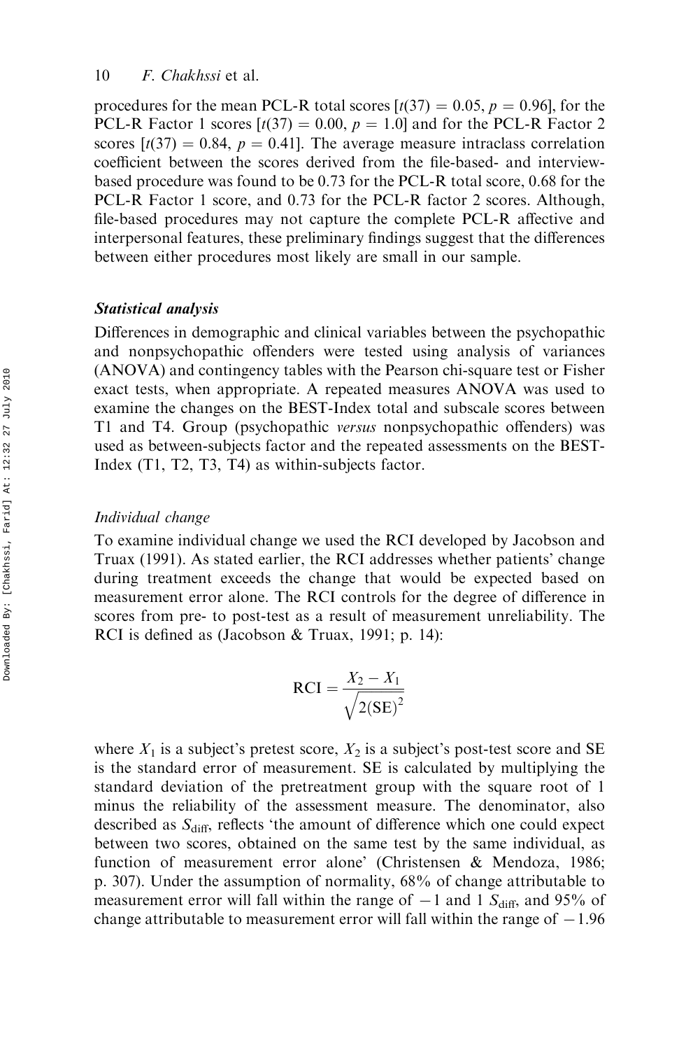procedures for the mean PCL-R total scores  $[t(37) = 0.05, p = 0.96]$ , for the PCL-R Factor 1 scores  $[t(37) = 0.00, p = 1.0]$  and for the PCL-R Factor 2 scores  $[t(37) = 0.84, p = 0.41]$ . The average measure intraclass correlation coefficient between the scores derived from the file-based- and interviewbased procedure was found to be 0.73 for the PCL-R total score, 0.68 for the PCL-R Factor 1 score, and 0.73 for the PCL-R factor 2 scores. Although, file-based procedures may not capture the complete PCL-R affective and interpersonal features, these preliminary findings suggest that the differences between either procedures most likely are small in our sample.

#### Statistical analysis

Differences in demographic and clinical variables between the psychopathic and nonpsychopathic offenders were tested using analysis of variances (ANOVA) and contingency tables with the Pearson chi-square test or Fisher exact tests, when appropriate. A repeated measures ANOVA was used to examine the changes on the BEST-Index total and subscale scores between T1 and T4. Group (psychopathic versus nonpsychopathic offenders) was used as between-subjects factor and the repeated assessments on the BEST-Index (T1, T2, T3, T4) as within-subjects factor.

#### Individual change

To examine individual change we used the RCI developed by Jacobson and Truax (1991). As stated earlier, the RCI addresses whether patients' change during treatment exceeds the change that would be expected based on measurement error alone. The RCI controls for the degree of difference in scores from pre- to post-test as a result of measurement unreliability. The RCI is defined as (Jacobson & Truax, 1991; p. 14):

$$
RCI = \frac{X_2 - X_1}{\sqrt{2(SE)^2}}
$$

where  $X_1$  is a subject's pretest score,  $X_2$  is a subject's post-test score and SE is the standard error of measurement. SE is calculated by multiplying the standard deviation of the pretreatment group with the square root of 1 minus the reliability of the assessment measure. The denominator, also described as  $S_{\text{diff}}$ , reflects 'the amount of difference which one could expect between two scores, obtained on the same test by the same individual, as function of measurement error alone' (Christensen & Mendoza, 1986; p. 307). Under the assumption of normality, 68% of change attributable to measurement error will fall within the range of  $-1$  and 1  $S<sub>diff</sub>$ , and 95% of change attributable to measurement error will fall within the range of  $-1.96$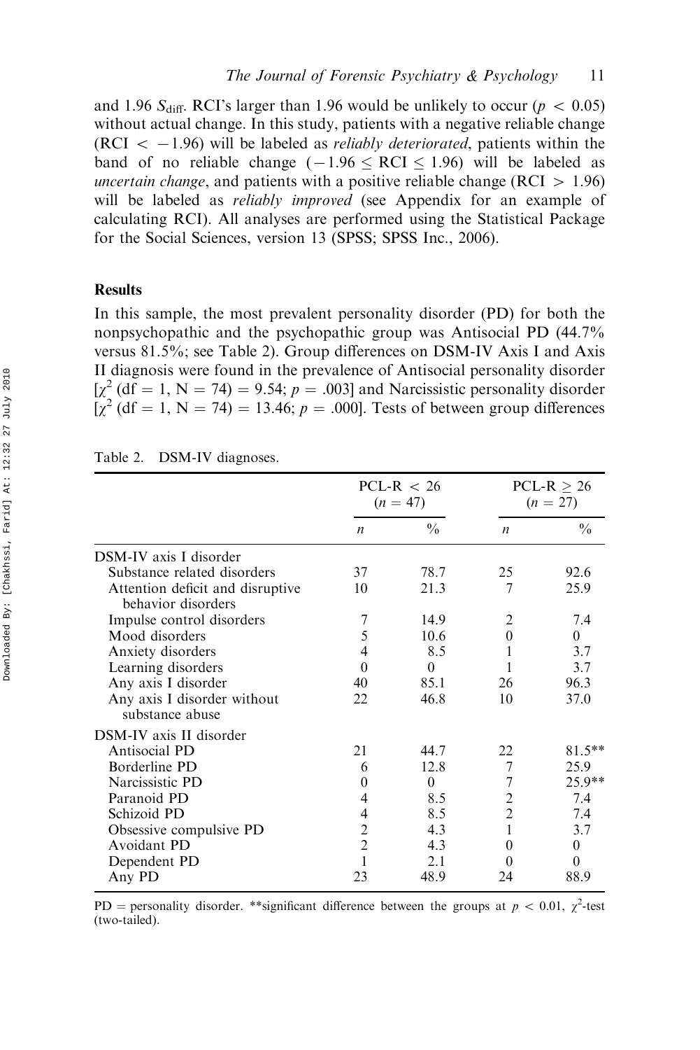and 1.96  $S_{\text{diff}}$ . RCI's larger than 1.96 would be unlikely to occur ( $p < 0.05$ ) without actual change. In this study, patients with a negative reliable change (RCI  $\langle$  -1.96) will be labeled as *reliably deteriorated*, patients within the band of no reliable change  $(-1.96 \leq RCI \leq 1.96)$  will be labeled as uncertain change, and patients with a positive reliable change ( $RCI > 1.96$ ) will be labeled as *reliably improved* (see Appendix for an example of calculating RCI). All analyses are performed using the Statistical Package for the Social Sciences, version 13 (SPSS; SPSS Inc., 2006).

#### Results

In this sample, the most prevalent personality disorder (PD) for both the nonpsychopathic and the psychopathic group was Antisocial PD (44.7% versus 81.5%; see Table 2). Group differences on DSM-IV Axis I and Axis II diagnosis were found in the prevalence of Antisocial personality disorder  $[\chi^2$  (df = 1, N = 74) = 9.54; p = .003] and Narcissistic personality disorder  $[\chi^2$  (df = 1, N = 74) = 13.46; p = .000]. Tests of between group differences

Table 2. DSM-IV diagnoses.

|                                                        | $PCL-R < 26$<br>$(n = 47)$ |               |                  | $PCL-R > 26$<br>$(n = 27)$ |  |
|--------------------------------------------------------|----------------------------|---------------|------------------|----------------------------|--|
|                                                        | n                          | $\frac{0}{0}$ | $\boldsymbol{n}$ | $\frac{0}{0}$              |  |
| DSM-IV axis I disorder                                 |                            |               |                  |                            |  |
| Substance related disorders                            | 37                         | 78.7          | 25               | 92.6                       |  |
| Attention deficit and disruptive<br>behavior disorders | 10                         | 21.3          | 7                | 25.9                       |  |
| Impulse control disorders                              | 7                          | 14.9          | $\overline{2}$   | 7.4                        |  |
| Mood disorders                                         | 5                          | 10.6          | $\theta$         | $\theta$                   |  |
| Anxiety disorders                                      | 4                          | 8.5           |                  | 3.7                        |  |
| Learning disorders                                     | $\Omega$                   | $\Omega$      |                  | 3.7                        |  |
| Any axis I disorder                                    | 40                         | 85.1          | 26               | 96.3                       |  |
| Any axis I disorder without<br>substance abuse         | 22                         | 46.8          | 10               | 37.0                       |  |
| DSM-IV axis II disorder                                |                            |               |                  |                            |  |
| Antisocial PD                                          | 21                         | 44.7          | 22               | $81.5**$                   |  |
| Borderline PD                                          | 6                          | 12.8          | 7                | 25.9                       |  |
| Narcissistic PD                                        | $\Omega$                   | $\theta$      | 7                | $25.9**$                   |  |
| Paranoid PD                                            | 4                          | 8.5           | $\overline{c}$   | 7.4                        |  |
| Schizoid PD                                            | 4                          | 8.5           | $\overline{c}$   | 7.4                        |  |
| Obsessive compulsive PD                                | $\overline{c}$             | 4.3           | 1                | 3.7                        |  |
| Avoidant PD                                            | $\overline{c}$             | 4.3           | $\mathbf{0}$     | $\overline{0}$             |  |
| Dependent PD                                           |                            | 2.1           | 0                | $\mathbf{0}$               |  |
| Any PD                                                 | 23                         | 48.9          | 24               | 88.9                       |  |

PD = personality disorder. \*\*significant difference between the groups at  $p < 0.01$ ,  $\chi^2$ -test (two-tailed).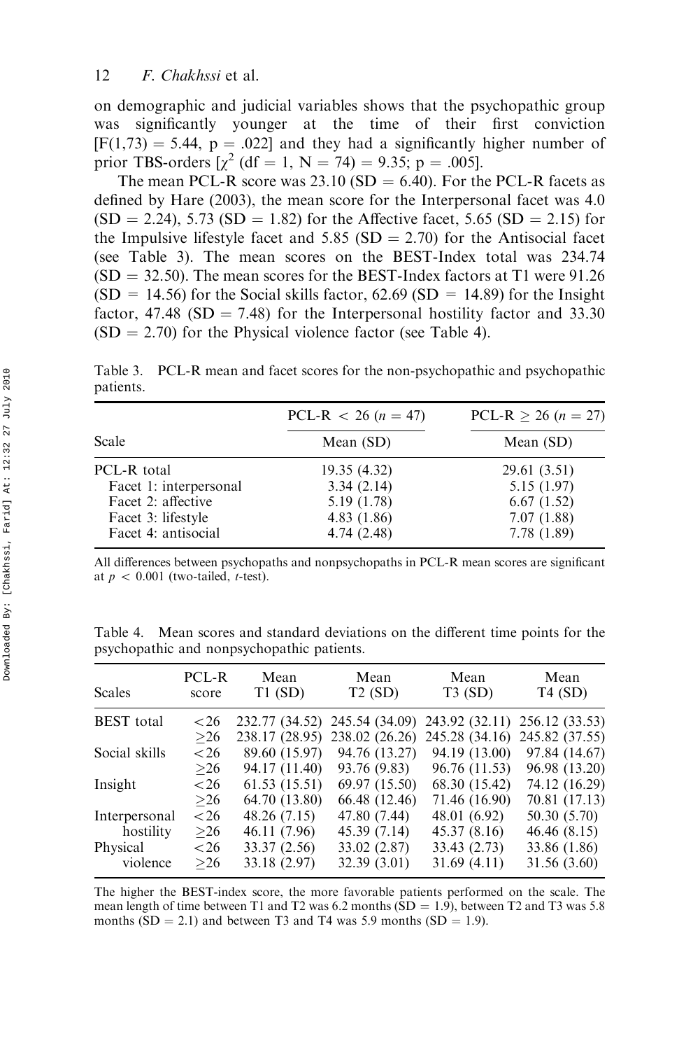on demographic and judicial variables shows that the psychopathic group was significantly younger at the time of their first conviction  $[F(1,73) = 5.44, p = .022]$  and they had a significantly higher number of prior TBS-orders  $\lbrack \gamma^2 \rbrack$  (df = 1, N = 74) = 9.35; p = .005].

The mean PCL-R score was  $23.10$  (SD = 6.40). For the PCL-R facets as defined by Hare (2003), the mean score for the Interpersonal facet was 4.0  $(SD = 2.24)$ , 5.73  $(SD = 1.82)$  for the Affective facet, 5.65  $(SD = 2.15)$  for the Impulsive lifestyle facet and 5.85 (SD = 2.70) for the Antisocial facet (see Table 3). The mean scores on the BEST-Index total was 234.74  $(SD = 32.50)$ . The mean scores for the BEST-Index factors at T1 were 91.26  $(SD = 14.56)$  for the Social skills factor, 62.69  $(SD = 14.89)$  for the Insight factor, 47.48 (SD = 7.48) for the Interpersonal hostility factor and 33.30  $(SD = 2.70)$  for the Physical violence factor (see Table 4).

Table 3. PCL-R mean and facet scores for the non-psychopathic and psychopathic patients.

|                                                                                                          | PCL-R $<$ 26 (n = 47)                                                | PCL-R $> 26 (n = 27)$<br>Mean (SD)                                    |  |
|----------------------------------------------------------------------------------------------------------|----------------------------------------------------------------------|-----------------------------------------------------------------------|--|
| Scale                                                                                                    | Mean $(SD)$                                                          |                                                                       |  |
| PCL-R total<br>Facet 1: interpersonal<br>Facet 2: affective<br>Facet 3: lifestyle<br>Facet 4: antisocial | 19.35 (4.32)<br>3.34(2.14)<br>5.19(1.78)<br>4.83(1.86)<br>4.74(2.48) | 29.61 (3.51)<br>5.15(1.97)<br>6.67(1.52)<br>7.07(1.88)<br>7.78 (1.89) |  |

All differences between psychopaths and nonpsychopaths in PCL-R mean scores are significant at  $p < 0.001$  (two-tailed, *t*-test).

Table 4. Mean scores and standard deviations on the different time points for the psychopathic and nonpsychopathic patients.

| <b>Scales</b>     | PCL-R<br>score | Mean<br>T1(SD) | Mean<br>T2(SD) | Mean<br>T3(SD)                                              | Mean<br>T4(SD) |
|-------------------|----------------|----------------|----------------|-------------------------------------------------------------|----------------|
| <b>BEST</b> total | < 26           |                |                | 232.77 (34.52) 245.54 (34.09) 243.92 (32.11) 256.12 (33.53) |                |
|                   | >26            | 238.17 (28.95) | 238.02 (26.26) | 245.28 (34.16)                                              | 245.82 (37.55) |
| Social skills     | < 26           | 89.60 (15.97)  | 94.76 (13.27)  | 94.19 (13.00)                                               | 97.84 (14.67)  |
|                   | >26            | 94.17 (11.40)  | 93.76 (9.83)   | 96.76 (11.53)                                               | 96.98 (13.20)  |
| Insight           | < 26           | 61.53(15.51)   | 69.97 (15.50)  | 68.30 (15.42)                                               | 74.12 (16.29)  |
|                   | >26            | 64.70 (13.80)  | 66.48 (12.46)  | 71.46 (16.90)                                               | 70.81 (17.13)  |
| Interpersonal     | < 26           | 48.26(7.15)    | 47.80 (7.44)   | 48.01 (6.92)                                                | 50.30 (5.70)   |
| hostility         | >26            | 46.11 (7.96)   | 45.39 (7.14)   | 45.37 (8.16)                                                | 46.46(8.15)    |
| Physical          | < 26           | 33.37 (2.56)   | 33.02(2.87)    | 33.43 (2.73)                                                | 33.86 (1.86)   |
| violence          | >26            | 33.18 (2.97)   | 32.39 (3.01)   | 31.69(4.11)                                                 | 31.56 (3.60)   |

The higher the BEST-index score, the more favorable patients performed on the scale. The mean length of time between T1 and T2 was 6.2 months (SD  $=$  1.9), between T2 and T3 was 5.8 months  $(SD = 2.1)$  and between T3 and T4 was 5.9 months  $(SD = 1.9)$ .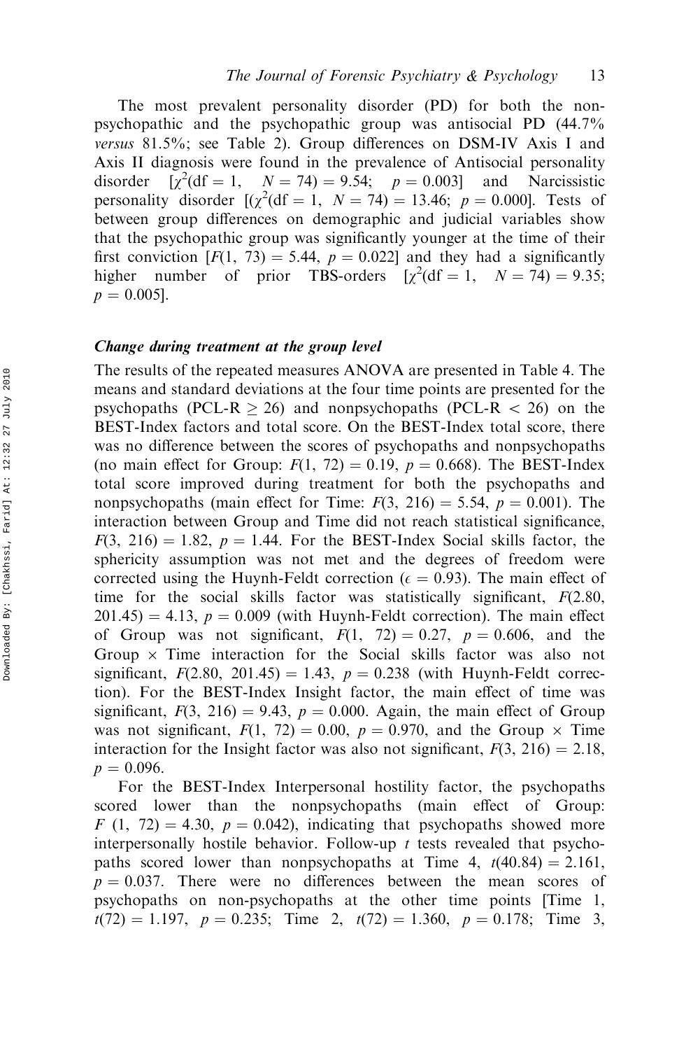The most prevalent personality disorder (PD) for both the nonpsychopathic and the psychopathic group was antisocial PD (44.7% versus 81.5%; see Table 2). Group differences on DSM-IV Axis I and Axis II diagnosis were found in the prevalence of Antisocial personality disorder  $[\chi^2(df = 1,$  $(N = 74) = 9.54; \quad p = 0.003$  and Narcissistic personality disorder  $[(\chi^2(df = 1, N = 74) = 13.46; p = 0.000]$ . Tests of between group differences on demographic and judicial variables show that the psychopathic group was significantly younger at the time of their first conviction  $[F(1, 73) = 5.44, p = 0.022]$  and they had a significantly higher number of prior TBS-orders  $[\chi^2(df = 1, N = 74) = 9.35;$  $p = 0.005$ .

#### Change during treatment at the group level

The results of the repeated measures ANOVA are presented in Table 4. The means and standard deviations at the four time points are presented for the psychopaths (PCL-R  $\geq$  26) and nonpsychopaths (PCL-R < 26) on the BEST-Index factors and total score. On the BEST-Index total score, there was no difference between the scores of psychopaths and nonpsychopaths (no main effect for Group:  $F(1, 72) = 0.19$ ,  $p = 0.668$ ). The BEST-Index total score improved during treatment for both the psychopaths and nonpsychopaths (main effect for Time:  $F(3, 216) = 5.54$ ,  $p = 0.001$ ). The interaction between Group and Time did not reach statistical significance,  $F(3, 216) = 1.82$ ,  $p = 1.44$ . For the BEST-Index Social skills factor, the sphericity assumption was not met and the degrees of freedom were corrected using the Huynh-Feldt correction ( $\epsilon = 0.93$ ). The main effect of time for the social skills factor was statistically significant,  $F(2.80,$  $201.45$ ) = 4.13,  $p = 0.009$  (with Huynh-Feldt correction). The main effect of Group was not significant,  $F(1, 72) = 0.27$ ,  $p = 0.606$ , and the Group  $\times$  Time interaction for the Social skills factor was also not significant,  $F(2.80, 201.45) = 1.43$ ,  $p = 0.238$  (with Huynh-Feldt correction). For the BEST-Index Insight factor, the main effect of time was significant,  $F(3, 216) = 9.43$ ,  $p = 0.000$ . Again, the main effect of Group was not significant,  $F(1, 72) = 0.00$ ,  $p = 0.970$ , and the Group  $\times$  Time interaction for the Insight factor was also not significant,  $F(3, 216) = 2.18$ ,  $p = 0.096$ .

For the BEST-Index Interpersonal hostility factor, the psychopaths scored lower than the nonpsychopaths (main effect of Group:  $F(1, 72) = 4.30, p = 0.042$ , indicating that psychopaths showed more interpersonally hostile behavior. Follow-up  $t$  tests revealed that psychopaths scored lower than nonpsychopaths at Time 4,  $t(40.84) = 2.161$ ,  $p = 0.037$ . There were no differences between the mean scores of psychopaths on non-psychopaths at the other time points [Time 1,  $t(72) = 1.197$ ,  $p = 0.235$ ; Time 2,  $t(72) = 1.360$ ,  $p = 0.178$ ; Time 3,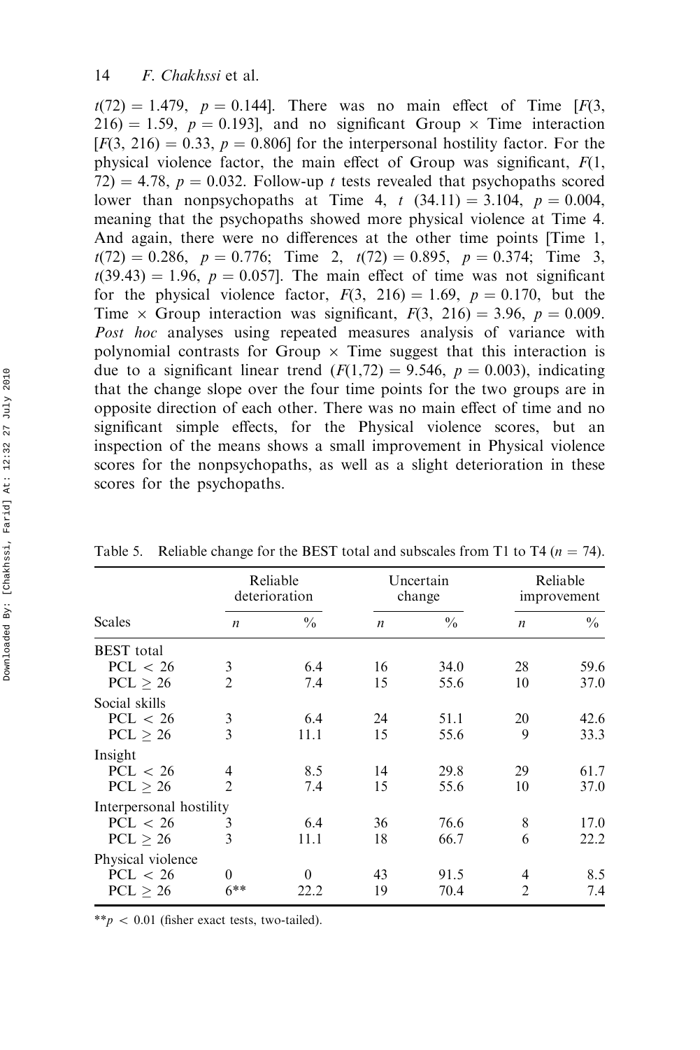$t(72) = 1.479$ ,  $p = 0.144$ . There was no main effect of Time [F(3,  $216$ ) = 1.59, p = 0.193], and no significant Group  $\times$  Time interaction  $[F(3, 216) = 0.33, p = 0.806]$  for the interpersonal hostility factor. For the physical violence factor, the main effect of Group was significant,  $F(1, 1)$  $72$ ) = 4.78, p = 0.032. Follow-up t tests revealed that psychopaths scored lower than nonpsychopaths at Time 4, t  $(34.11) = 3.104$ ,  $p = 0.004$ , meaning that the psychopaths showed more physical violence at Time 4. And again, there were no differences at the other time points [Time 1,  $t(72) = 0.286$ ,  $p = 0.776$ ; Time 2,  $t(72) = 0.895$ ,  $p = 0.374$ ; Time 3,  $t(39.43) = 1.96$ ,  $p = 0.057$ . The main effect of time was not significant for the physical violence factor,  $F(3, 216) = 1.69$ ,  $p = 0.170$ , but the Time  $\times$  Group interaction was significant,  $F(3, 216) = 3.96$ ,  $p = 0.009$ . Post hoc analyses using repeated measures analysis of variance with polynomial contrasts for Group  $\times$  Time suggest that this interaction is due to a significant linear trend  $(F(1,72) = 9.546, p = 0.003)$ , indicating that the change slope over the four time points for the two groups are in opposite direction of each other. There was no main effect of time and no significant simple effects, for the Physical violence scores, but an inspection of the means shows a small improvement in Physical violence scores for the nonpsychopaths, as well as a slight deterioration in these scores for the psychopaths.

| <b>Scales</b>           | Reliable<br>deterioration |               | Uncertain<br>change |               | Reliable<br>improvement |               |
|-------------------------|---------------------------|---------------|---------------------|---------------|-------------------------|---------------|
|                         | $\boldsymbol{n}$          | $\frac{0}{0}$ | $\boldsymbol{n}$    | $\frac{0}{0}$ | $\boldsymbol{n}$        | $\frac{0}{0}$ |
| <b>BEST</b> total       |                           |               |                     |               |                         |               |
| PCL < 26                | 3                         | 6.4           | 16                  | 34.0          | 28                      | 59.6          |
| PCL > 26                | $\overline{2}$            | 7.4           | 15                  | 55.6          | 10                      | 37.0          |
| Social skills           |                           |               |                     |               |                         |               |
| PCL < 26                | 3                         | 6.4           | 24                  | 51.1          | 20                      | 42.6          |
| PCL > 26                | 3                         | 11.1          | 15                  | 55.6          | 9                       | 33.3          |
| Insight                 |                           |               |                     |               |                         |               |
| PCL < 26                | 4                         | 8.5           | 14                  | 29.8          | 29                      | 61.7          |
| $PCL \geq 26$           | $\overline{2}$            | 7.4           | 15                  | 55.6          | 10                      | 37.0          |
| Interpersonal hostility |                           |               |                     |               |                         |               |
| PCL < 26                | 3                         | 6.4           | 36                  | 76.6          | 8                       | 17.0          |
| PCL > 26                | 3                         | 11.1          | 18                  | 66.7          | 6                       | 22.2          |
| Physical violence       |                           |               |                     |               |                         |               |
| PCL < 26                | $\theta$                  | $\Omega$      | 43                  | 91.5          | 4                       | 8.5           |
| $PCL \geq 26$           | $6***$                    | 22.2          | 19                  | 70.4          | $\overline{c}$          | 7.4           |
|                         |                           |               |                     |               |                         |               |

Table 5. Reliable change for the BEST total and subscales from T1 to T4 ( $n = 74$ ).

\*\*p < 0.01 (fisher exact tests, two-tailed).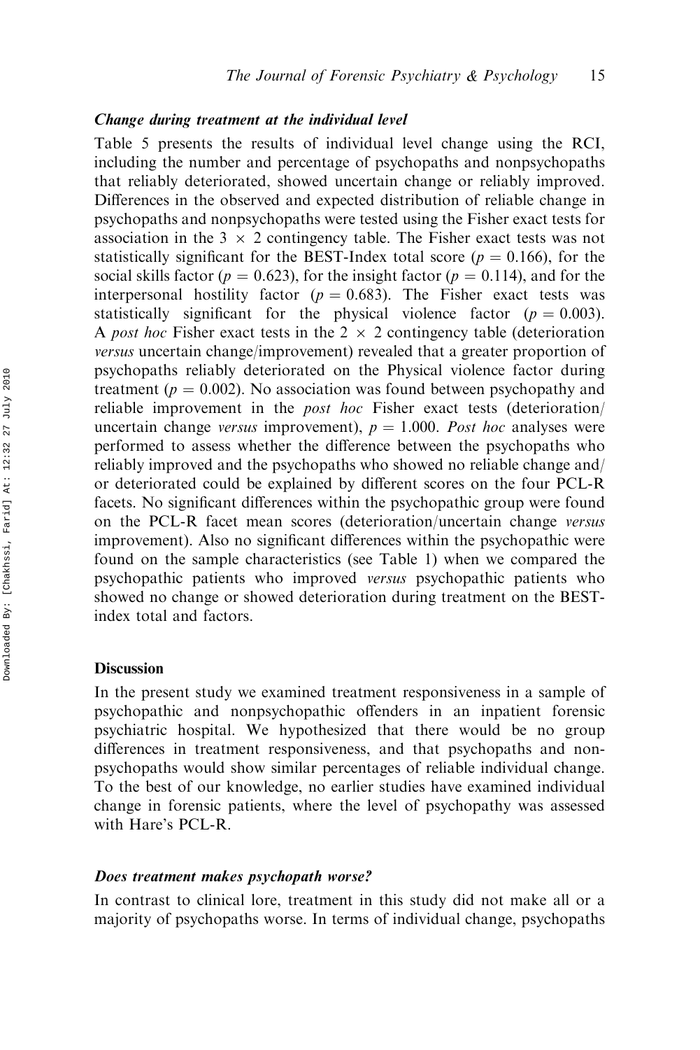#### Change during treatment at the individual level

Table 5 presents the results of individual level change using the RCI, including the number and percentage of psychopaths and nonpsychopaths that reliably deteriorated, showed uncertain change or reliably improved. Differences in the observed and expected distribution of reliable change in psychopaths and nonpsychopaths were tested using the Fisher exact tests for association in the 3  $\times$  2 contingency table. The Fisher exact tests was not statistically significant for the BEST-Index total score ( $p = 0.166$ ), for the social skills factor ( $p = 0.623$ ), for the insight factor ( $p = 0.114$ ), and for the interpersonal hostility factor ( $p = 0.683$ ). The Fisher exact tests was statistically significant for the physical violence factor ( $p = 0.003$ ). A post hoc Fisher exact tests in the  $2 \times 2$  contingency table (deterioration versus uncertain change/improvement) revealed that a greater proportion of psychopaths reliably deteriorated on the Physical violence factor during treatment ( $p = 0.002$ ). No association was found between psychopathy and reliable improvement in the post hoc Fisher exact tests (deterioration/ uncertain change versus improvement),  $p = 1.000$ . Post hoc analyses were performed to assess whether the difference between the psychopaths who reliably improved and the psychopaths who showed no reliable change and/ or deteriorated could be explained by different scores on the four PCL-R facets. No significant differences within the psychopathic group were found on the PCL-R facet mean scores (deterioration/uncertain change versus improvement). Also no significant differences within the psychopathic were found on the sample characteristics (see Table 1) when we compared the psychopathic patients who improved versus psychopathic patients who showed no change or showed deterioration during treatment on the BESTindex total and factors.

#### **Discussion**

In the present study we examined treatment responsiveness in a sample of psychopathic and nonpsychopathic offenders in an inpatient forensic psychiatric hospital. We hypothesized that there would be no group differences in treatment responsiveness, and that psychopaths and nonpsychopaths would show similar percentages of reliable individual change. To the best of our knowledge, no earlier studies have examined individual change in forensic patients, where the level of psychopathy was assessed with Hare's PCL-R.

#### Does treatment makes psychopath worse?

In contrast to clinical lore, treatment in this study did not make all or a majority of psychopaths worse. In terms of individual change, psychopaths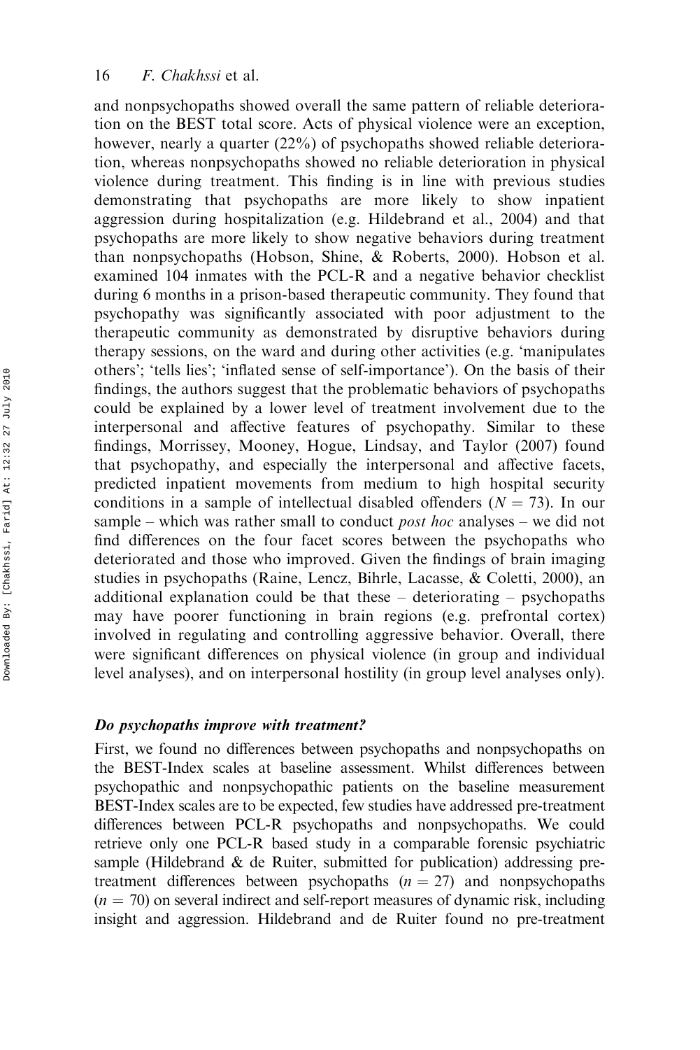and nonpsychopaths showed overall the same pattern of reliable deterioration on the BEST total score. Acts of physical violence were an exception, however, nearly a quarter (22%) of psychopaths showed reliable deterioration, whereas nonpsychopaths showed no reliable deterioration in physical violence during treatment. This finding is in line with previous studies demonstrating that psychopaths are more likely to show inpatient aggression during hospitalization (e.g. Hildebrand et al., 2004) and that psychopaths are more likely to show negative behaviors during treatment than nonpsychopaths (Hobson, Shine, & Roberts, 2000). Hobson et al. examined 104 inmates with the PCL-R and a negative behavior checklist during 6 months in a prison-based therapeutic community. They found that psychopathy was significantly associated with poor adjustment to the therapeutic community as demonstrated by disruptive behaviors during therapy sessions, on the ward and during other activities (e.g. 'manipulates others'; 'tells lies'; 'inflated sense of self-importance'). On the basis of their findings, the authors suggest that the problematic behaviors of psychopaths could be explained by a lower level of treatment involvement due to the interpersonal and affective features of psychopathy. Similar to these findings, Morrissey, Mooney, Hogue, Lindsay, and Taylor (2007) found that psychopathy, and especially the interpersonal and affective facets, predicted inpatient movements from medium to high hospital security conditions in a sample of intellectual disabled offenders  $(N = 73)$ . In our sample – which was rather small to conduct *post hoc* analyses – we did not find differences on the four facet scores between the psychopaths who deteriorated and those who improved. Given the findings of brain imaging studies in psychopaths (Raine, Lencz, Bihrle, Lacasse, & Coletti, 2000), an additional explanation could be that these  $-$  deteriorating  $-$  psychopaths may have poorer functioning in brain regions (e.g. prefrontal cortex) involved in regulating and controlling aggressive behavior. Overall, there were significant differences on physical violence (in group and individual level analyses), and on interpersonal hostility (in group level analyses only).

### Do psychopaths improve with treatment?

First, we found no differences between psychopaths and nonpsychopaths on the BEST-Index scales at baseline assessment. Whilst differences between psychopathic and nonpsychopathic patients on the baseline measurement BEST-Index scales are to be expected, few studies have addressed pre-treatment differences between PCL-R psychopaths and nonpsychopaths. We could retrieve only one PCL-R based study in a comparable forensic psychiatric sample (Hildebrand & de Ruiter, submitted for publication) addressing pretreatment differences between psychopaths  $(n = 27)$  and nonpsychopaths  $(n = 70)$  on several indirect and self-report measures of dynamic risk, including insight and aggression. Hildebrand and de Ruiter found no pre-treatment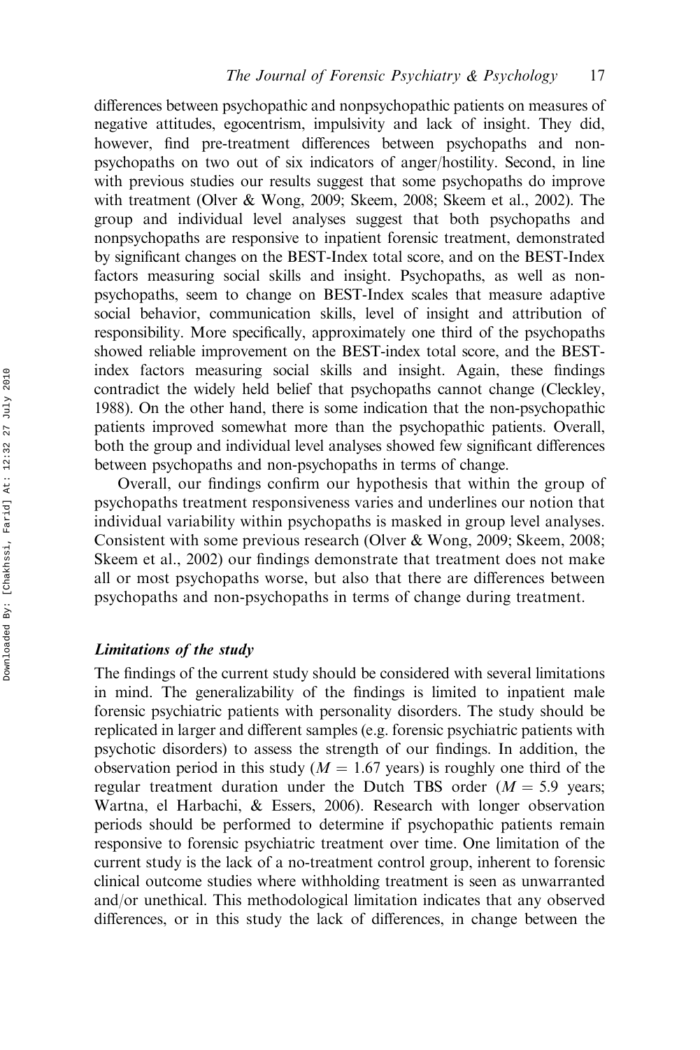differences between psychopathic and nonpsychopathic patients on measures of negative attitudes, egocentrism, impulsivity and lack of insight. They did, however, find pre-treatment differences between psychopaths and nonpsychopaths on two out of six indicators of anger/hostility. Second, in line with previous studies our results suggest that some psychopaths do improve with treatment (Olver & Wong, 2009; Skeem, 2008; Skeem et al., 2002). The group and individual level analyses suggest that both psychopaths and nonpsychopaths are responsive to inpatient forensic treatment, demonstrated by significant changes on the BEST-Index total score, and on the BEST-Index factors measuring social skills and insight. Psychopaths, as well as nonpsychopaths, seem to change on BEST-Index scales that measure adaptive social behavior, communication skills, level of insight and attribution of responsibility. More specifically, approximately one third of the psychopaths showed reliable improvement on the BEST-index total score, and the BESTindex factors measuring social skills and insight. Again, these findings contradict the widely held belief that psychopaths cannot change (Cleckley, 1988). On the other hand, there is some indication that the non-psychopathic patients improved somewhat more than the psychopathic patients. Overall, both the group and individual level analyses showed few significant differences between psychopaths and non-psychopaths in terms of change.

Overall, our findings confirm our hypothesis that within the group of psychopaths treatment responsiveness varies and underlines our notion that individual variability within psychopaths is masked in group level analyses. Consistent with some previous research (Olver & Wong, 2009; Skeem, 2008; Skeem et al., 2002) our findings demonstrate that treatment does not make all or most psychopaths worse, but also that there are differences between psychopaths and non-psychopaths in terms of change during treatment.

#### Limitations of the study

The findings of the current study should be considered with several limitations in mind. The generalizability of the findings is limited to inpatient male forensic psychiatric patients with personality disorders. The study should be replicated in larger and different samples (e.g. forensic psychiatric patients with psychotic disorders) to assess the strength of our findings. In addition, the observation period in this study ( $M = 1.67$  years) is roughly one third of the regular treatment duration under the Dutch TBS order  $(M = 5.9$  years; Wartna, el Harbachi, & Essers, 2006). Research with longer observation periods should be performed to determine if psychopathic patients remain responsive to forensic psychiatric treatment over time. One limitation of the current study is the lack of a no-treatment control group, inherent to forensic clinical outcome studies where withholding treatment is seen as unwarranted and/or unethical. This methodological limitation indicates that any observed differences, or in this study the lack of differences, in change between the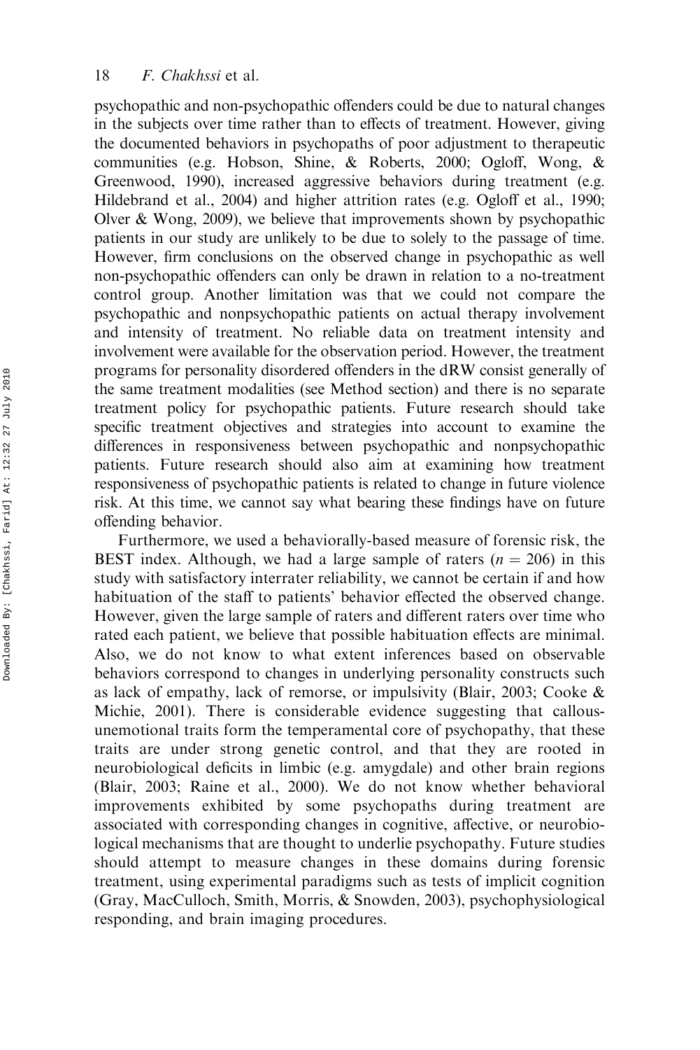psychopathic and non-psychopathic offenders could be due to natural changes in the subjects over time rather than to effects of treatment. However, giving the documented behaviors in psychopaths of poor adjustment to therapeutic communities (e.g. Hobson, Shine, & Roberts, 2000; Ogloff, Wong, & Greenwood, 1990), increased aggressive behaviors during treatment (e.g. Hildebrand et al., 2004) and higher attrition rates (e.g. Ogloff et al., 1990; Olver & Wong, 2009), we believe that improvements shown by psychopathic patients in our study are unlikely to be due to solely to the passage of time. However, firm conclusions on the observed change in psychopathic as well non-psychopathic offenders can only be drawn in relation to a no-treatment control group. Another limitation was that we could not compare the psychopathic and nonpsychopathic patients on actual therapy involvement and intensity of treatment. No reliable data on treatment intensity and involvement were available for the observation period. However, the treatment programs for personality disordered offenders in the dRW consist generally of the same treatment modalities (see Method section) and there is no separate treatment policy for psychopathic patients. Future research should take specific treatment objectives and strategies into account to examine the differences in responsiveness between psychopathic and nonpsychopathic patients. Future research should also aim at examining how treatment responsiveness of psychopathic patients is related to change in future violence risk. At this time, we cannot say what bearing these findings have on future offending behavior.

Furthermore, we used a behaviorally-based measure of forensic risk, the BEST index. Although, we had a large sample of raters  $(n = 206)$  in this study with satisfactory interrater reliability, we cannot be certain if and how habituation of the staff to patients' behavior effected the observed change. However, given the large sample of raters and different raters over time who rated each patient, we believe that possible habituation effects are minimal. Also, we do not know to what extent inferences based on observable behaviors correspond to changes in underlying personality constructs such as lack of empathy, lack of remorse, or impulsivity (Blair, 2003; Cooke & Michie, 2001). There is considerable evidence suggesting that callousunemotional traits form the temperamental core of psychopathy, that these traits are under strong genetic control, and that they are rooted in neurobiological deficits in limbic (e.g. amygdale) and other brain regions (Blair, 2003; Raine et al., 2000). We do not know whether behavioral improvements exhibited by some psychopaths during treatment are associated with corresponding changes in cognitive, affective, or neurobiological mechanisms that are thought to underlie psychopathy. Future studies should attempt to measure changes in these domains during forensic treatment, using experimental paradigms such as tests of implicit cognition (Gray, MacCulloch, Smith, Morris, & Snowden, 2003), psychophysiological responding, and brain imaging procedures.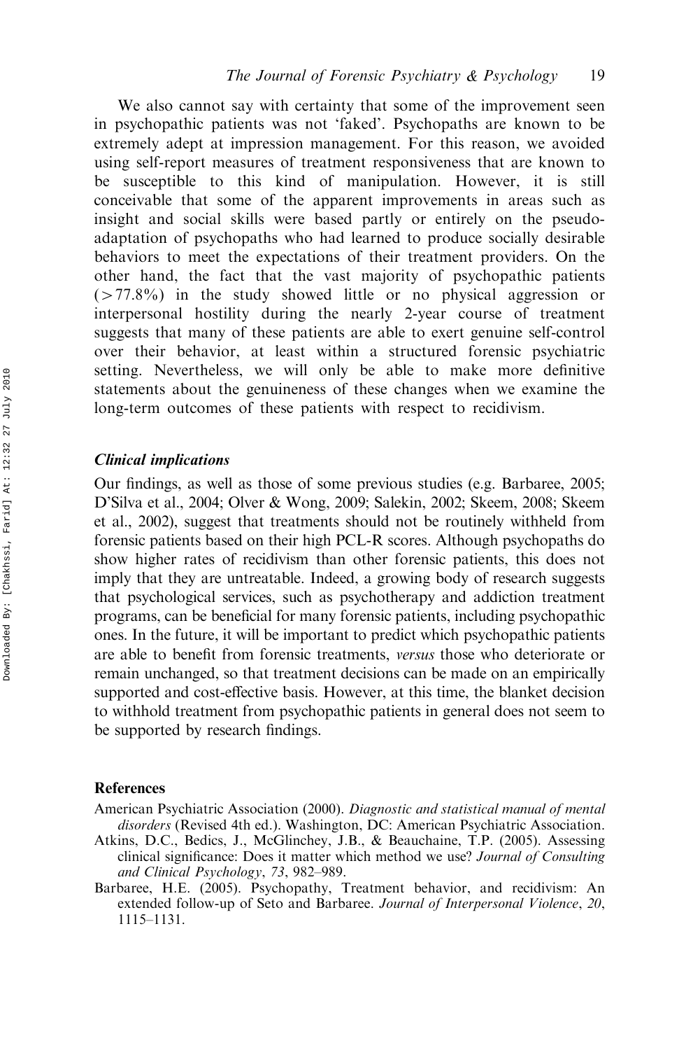We also cannot say with certainty that some of the improvement seen in psychopathic patients was not 'faked'. Psychopaths are known to be extremely adept at impression management. For this reason, we avoided using self-report measures of treatment responsiveness that are known to be susceptible to this kind of manipulation. However, it is still conceivable that some of the apparent improvements in areas such as insight and social skills were based partly or entirely on the pseudoadaptation of psychopaths who had learned to produce socially desirable behaviors to meet the expectations of their treatment providers. On the other hand, the fact that the vast majority of psychopathic patients  $(577.8%)$  in the study showed little or no physical aggression or interpersonal hostility during the nearly 2-year course of treatment suggests that many of these patients are able to exert genuine self-control over their behavior, at least within a structured forensic psychiatric setting. Nevertheless, we will only be able to make more definitive statements about the genuineness of these changes when we examine the long-term outcomes of these patients with respect to recidivism.

#### Clinical implications

Our findings, as well as those of some previous studies (e.g. Barbaree, 2005; D'Silva et al., 2004; Olver & Wong, 2009; Salekin, 2002; Skeem, 2008; Skeem et al., 2002), suggest that treatments should not be routinely withheld from forensic patients based on their high PCL-R scores. Although psychopaths do show higher rates of recidivism than other forensic patients, this does not imply that they are untreatable. Indeed, a growing body of research suggests that psychological services, such as psychotherapy and addiction treatment programs, can be beneficial for many forensic patients, including psychopathic ones. In the future, it will be important to predict which psychopathic patients are able to benefit from forensic treatments, versus those who deteriorate or remain unchanged, so that treatment decisions can be made on an empirically supported and cost-effective basis. However, at this time, the blanket decision to withhold treatment from psychopathic patients in general does not seem to be supported by research findings.

#### References

- American Psychiatric Association (2000). Diagnostic and statistical manual of mental disorders (Revised 4th ed.). Washington, DC: American Psychiatric Association.
- Atkins, D.C., Bedics, J., McGlinchey, J.B., & Beauchaine, T.P. (2005). Assessing clinical significance: Does it matter which method we use? Journal of Consulting and Clinical Psychology, 73, 982–989.
- Barbaree, H.E. (2005). Psychopathy, Treatment behavior, and recidivism: An extended follow-up of Seto and Barbaree. Journal of Interpersonal Violence, 20, 1115–1131.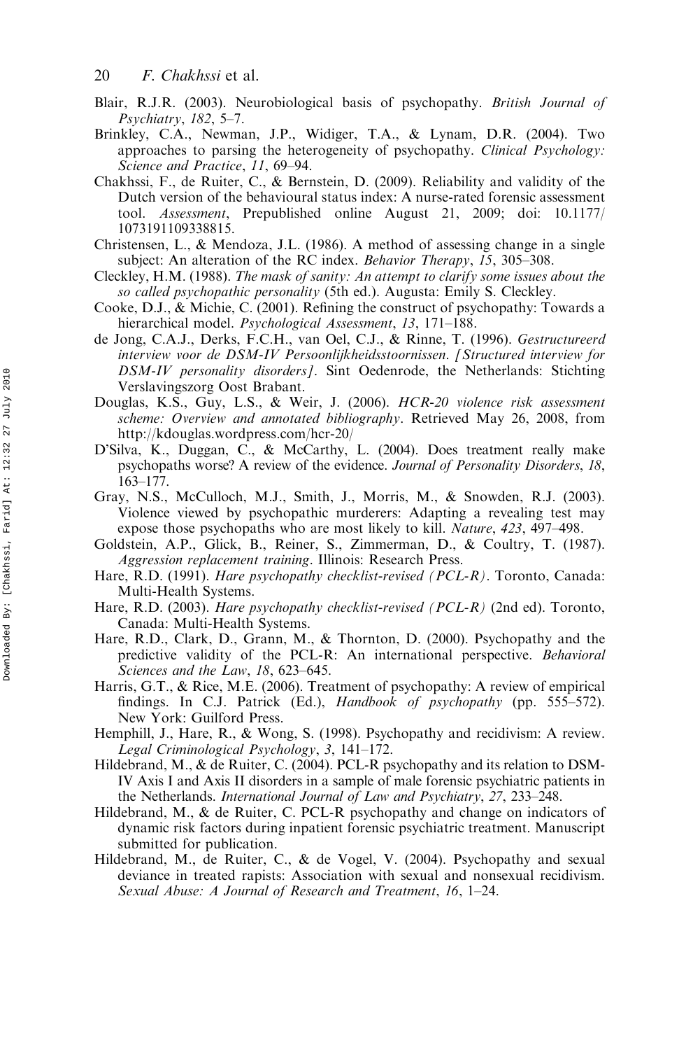- 20 F. Chakhssi et al.
- Blair, R.J.R. (2003). Neurobiological basis of psychopathy. British Journal of Psychiatry, 182, 5–7.
- Brinkley, C.A., Newman, J.P., Widiger, T.A., & Lynam, D.R. (2004). Two approaches to parsing the heterogeneity of psychopathy. Clinical Psychology: Science and Practice, 11, 69–94.
- Chakhssi, F., de Ruiter, C., & Bernstein, D. (2009). Reliability and validity of the Dutch version of the behavioural status index: A nurse-rated forensic assessment tool. Assessment, Prepublished online August 21, 2009; doi: 10.1177/ 1073191109338815.
- Christensen, L., & Mendoza, J.L. (1986). A method of assessing change in a single subject: An alteration of the RC index. *Behavior Therapy*, 15, 305–308.
- Cleckley, H.M. (1988). The mask of sanity: An attempt to clarify some issues about the so called psychopathic personality (5th ed.). Augusta: Emily S. Cleckley.
- Cooke, D.J., & Michie, C. (2001). Refining the construct of psychopathy: Towards a hierarchical model. *Psychological Assessment*, 13, 171–188.
- de Jong, C.A.J., Derks, F.C.H., van Oel, C.J., & Rinne, T. (1996). Gestructureerd interview voor de DSM-IV Persoonlijkheidsstoornissen. [Structured interview for DSM-IV personality disorders]. Sint Oedenrode, the Netherlands: Stichting Verslavingszorg Oost Brabant.
- Douglas, K.S., Guy, L.S., & Weir, J. (2006). HCR-20 violence risk assessment scheme: Overview and annotated bibliography. Retrieved May 26, 2008, from <http://kdouglas.wordpress.com/hcr-20/>
- D'Silva, K., Duggan, C., & McCarthy, L. (2004). Does treatment really make psychopaths worse? A review of the evidence. Journal of Personality Disorders, 18, 163–177.
- Gray, N.S., McCulloch, M.J., Smith, J., Morris, M., & Snowden, R.J. (2003). Violence viewed by psychopathic murderers: Adapting a revealing test may expose those psychopaths who are most likely to kill. Nature, 423, 497–498.
- Goldstein, A.P., Glick, B., Reiner, S., Zimmerman, D., & Coultry, T. (1987). Aggression replacement training. Illinois: Research Press.
- Hare, R.D. (1991). Hare psychopathy checklist-revised (PCL-R). Toronto, Canada: Multi-Health Systems.
- Hare, R.D. (2003). Hare psychopathy checklist-revised (PCL-R) (2nd ed). Toronto, Canada: Multi-Health Systems.
- Hare, R.D., Clark, D., Grann, M., & Thornton, D. (2000). Psychopathy and the predictive validity of the PCL-R: An international perspective. Behavioral Sciences and the Law, 18, 623–645.
- Harris, G.T., & Rice, M.E. (2006). Treatment of psychopathy: A review of empirical findings. In C.J. Patrick (Ed.), Handbook of psychopathy (pp. 555-572). New York: Guilford Press.
- Hemphill, J., Hare, R., & Wong, S. (1998). Psychopathy and recidivism: A review. Legal Criminological Psychology, 3, 141–172.
- Hildebrand, M., & de Ruiter, C. (2004). PCL-R psychopathy and its relation to DSM-IV Axis I and Axis II disorders in a sample of male forensic psychiatric patients in the Netherlands. International Journal of Law and Psychiatry, 27, 233–248.
- Hildebrand, M., & de Ruiter, C. PCL-R psychopathy and change on indicators of dynamic risk factors during inpatient forensic psychiatric treatment. Manuscript submitted for publication.
- Hildebrand, M., de Ruiter, C., & de Vogel, V. (2004). Psychopathy and sexual deviance in treated rapists: Association with sexual and nonsexual recidivism. Sexual Abuse: A Journal of Research and Treatment, 16, 1–24.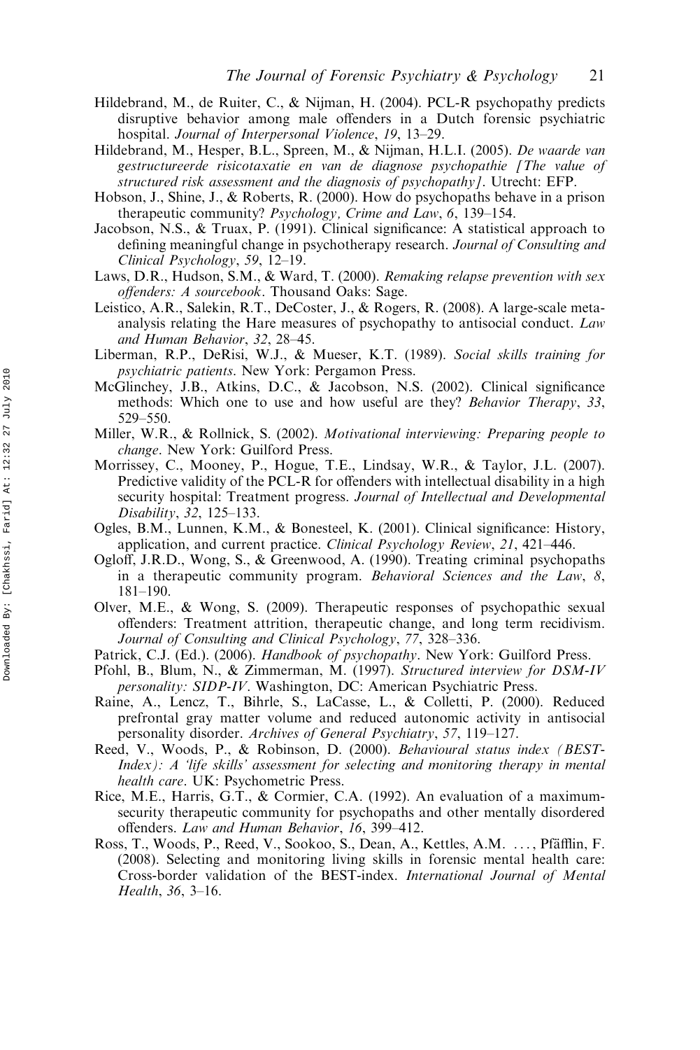- Hildebrand, M., de Ruiter, C., & Nijman, H. (2004). PCL-R psychopathy predicts disruptive behavior among male offenders in a Dutch forensic psychiatric hospital. Journal of Interpersonal Violence, 19, 13–29.
- Hildebrand, M., Hesper, B.L., Spreen, M., & Nijman, H.L.I. (2005). De waarde van gestructureerde risicotaxatie en van de diagnose psychopathie [The value of structured risk assessment and the diagnosis of psychopathy]. Utrecht: EFP.
- Hobson, J., Shine, J., & Roberts, R. (2000). How do psychopaths behave in a prison therapeutic community? Psychology, Crime and Law, 6, 139–154.
- Jacobson, N.S., & Truax, P. (1991). Clinical significance: A statistical approach to defining meaningful change in psychotherapy research. Journal of Consulting and Clinical Psychology, 59, 12–19.
- Laws, D.R., Hudson, S.M., & Ward, T. (2000). Remaking relapse prevention with sex offenders: A sourcebook. Thousand Oaks: Sage.
- Leistico, A.R., Salekin, R.T., DeCoster, J., & Rogers, R. (2008). A large-scale metaanalysis relating the Hare measures of psychopathy to antisocial conduct. Law and Human Behavior, 32, 28–45.
- Liberman, R.P., DeRisi, W.J., & Mueser, K.T. (1989). Social skills training for psychiatric patients. New York: Pergamon Press.
- McGlinchey, J.B., Atkins, D.C., & Jacobson, N.S. (2002). Clinical significance methods: Which one to use and how useful are they? Behavior Therapy, 33, 529–550.
- Miller, W.R., & Rollnick, S. (2002). Motivational interviewing: Preparing people to change. New York: Guilford Press.
- Morrissey, C., Mooney, P., Hogue, T.E., Lindsay, W.R., & Taylor, J.L. (2007). Predictive validity of the PCL-R for offenders with intellectual disability in a high security hospital: Treatment progress. Journal of Intellectual and Developmental Disability, 32, 125–133.
- Ogles, B.M., Lunnen, K.M., & Bonesteel, K. (2001). Clinical significance: History, application, and current practice. Clinical Psychology Review, 21, 421–446.
- Ogloff, J.R.D., Wong, S., & Greenwood, A. (1990). Treating criminal psychopaths in a therapeutic community program. Behavioral Sciences and the Law, 8, 181–190.
- Olver, M.E., & Wong, S. (2009). Therapeutic responses of psychopathic sexual offenders: Treatment attrition, therapeutic change, and long term recidivism. Journal of Consulting and Clinical Psychology, 77, 328–336.
- Patrick, C.J. (Ed.). (2006). Handbook of psychopathy. New York: Guilford Press.
- Pfohl, B., Blum, N., & Zimmerman, M. (1997). Structured interview for DSM-IV personality: SIDP-IV. Washington, DC: American Psychiatric Press.
- Raine, A., Lencz, T., Bihrle, S., LaCasse, L., & Colletti, P. (2000). Reduced prefrontal gray matter volume and reduced autonomic activity in antisocial personality disorder. Archives of General Psychiatry, 57, 119–127.
- Reed, V., Woods, P., & Robinson, D. (2000). Behavioural status index (BEST-Index): A 'life skills' assessment for selecting and monitoring therapy in mental health care. UK: Psychometric Press.
- Rice, M.E., Harris, G.T., & Cormier, C.A. (1992). An evaluation of a maximumsecurity therapeutic community for psychopaths and other mentally disordered offenders. Law and Human Behavior, 16, 399–412.
- Ross, T., Woods, P., Reed, V., Sookoo, S., Dean, A., Kettles, A.M. ..., Pfäfflin, F. (2008). Selecting and monitoring living skills in forensic mental health care: Cross-border validation of the BEST-index. International Journal of Mental Health, 36, 3–16.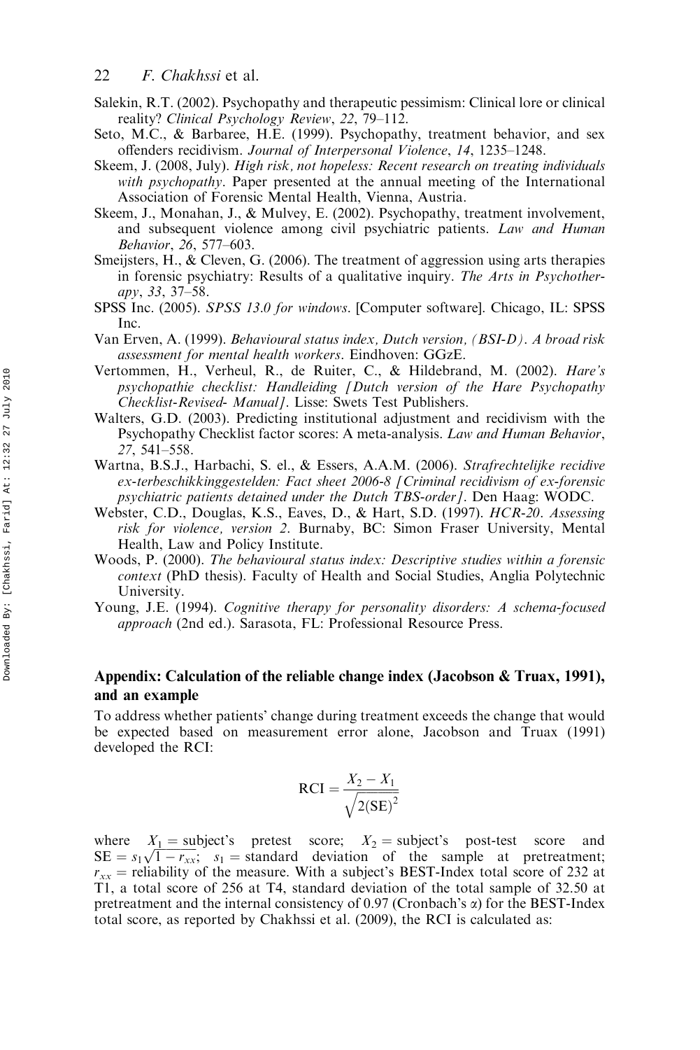- Salekin, R.T. (2002). Psychopathy and therapeutic pessimism: Clinical lore or clinical reality? Clinical Psychology Review, 22, 79–112.
- Seto, M.C., & Barbaree, H.E. (1999). Psychopathy, treatment behavior, and sex offenders recidivism. Journal of Interpersonal Violence, 14, 1235–1248.
- Skeem, J. (2008, July). High risk, not hopeless: Recent research on treating individuals with psychopathy. Paper presented at the annual meeting of the International Association of Forensic Mental Health, Vienna, Austria.
- Skeem, J., Monahan, J., & Mulvey, E. (2002). Psychopathy, treatment involvement, and subsequent violence among civil psychiatric patients. Law and Human Behavior, 26, 577–603.
- Smeijsters, H., & Cleven, G. (2006). The treatment of aggression using arts therapies in forensic psychiatry: Results of a qualitative inquiry. The Arts in Psychotherapy, 33, 37–58.
- SPSS Inc. (2005). SPSS 13.0 for windows. [Computer software]. Chicago, IL: SPSS Inc.
- Van Erven, A. (1999). Behavioural status index, Dutch version, (BSI-D). A broad risk assessment for mental health workers. Eindhoven: GGzE.
- Vertommen, H., Verheul, R., de Ruiter, C., & Hildebrand, M. (2002). Hare's psychopathie checklist: Handleiding [Dutch version of the Hare Psychopathy Checklist-Revised- Manual]. Lisse: Swets Test Publishers.
- Walters, G.D. (2003). Predicting institutional adjustment and recidivism with the Psychopathy Checklist factor scores: A meta-analysis. Law and Human Behavior, 27, 541–558.
- Wartna, B.S.J., Harbachi, S. el., & Essers, A.A.M. (2006). Strafrechtelijke recidive ex-terbeschikkinggestelden: Fact sheet 2006-8 [Criminal recidivism of ex-forensic psychiatric patients detained under the Dutch TBS-order]. Den Haag: WODC.
- Webster, C.D., Douglas, K.S., Eaves, D., & Hart, S.D. (1997). HCR-20. Assessing risk for violence, version 2. Burnaby, BC: Simon Fraser University, Mental Health, Law and Policy Institute.
- Woods, P. (2000). The behavioural status index: Descriptive studies within a forensic context (PhD thesis). Faculty of Health and Social Studies, Anglia Polytechnic University.
- Young, J.E. (1994). Cognitive therapy for personality disorders: A schema-focused approach (2nd ed.). Sarasota, FL: Professional Resource Press.

### Appendix: Calculation of the reliable change index (Jacobson & Truax, 1991), and an example

To address whether patients' change during treatment exceeds the change that would be expected based on measurement error alone, Jacobson and Truax (1991) developed the RCI:

$$
RCI = \frac{X_2 - X_1}{\sqrt{2(SE)^2}}
$$

where  $X_1$  = subject's pretest score;  $X_2$  = subject's post-test score and where  $X_1$  is subject spretest score;  $X_2$  is subject spost-test score and  $SE = s_1\sqrt{1 - r_{xx}}$ ;  $s_1$  is standard deviation of the sample at pretreatment;  $r_{xx}$  = reliability of the measure. With a subject's BEST-Index total score of 232 at T1, a total score of 256 at T4, standard deviation of the total sample of 32.50 at pretreatment and the internal consistency of 0.97 (Cronbach's  $\alpha$ ) for the BEST-Index total score, as reported by Chakhssi et al. (2009), the RCI is calculated as: